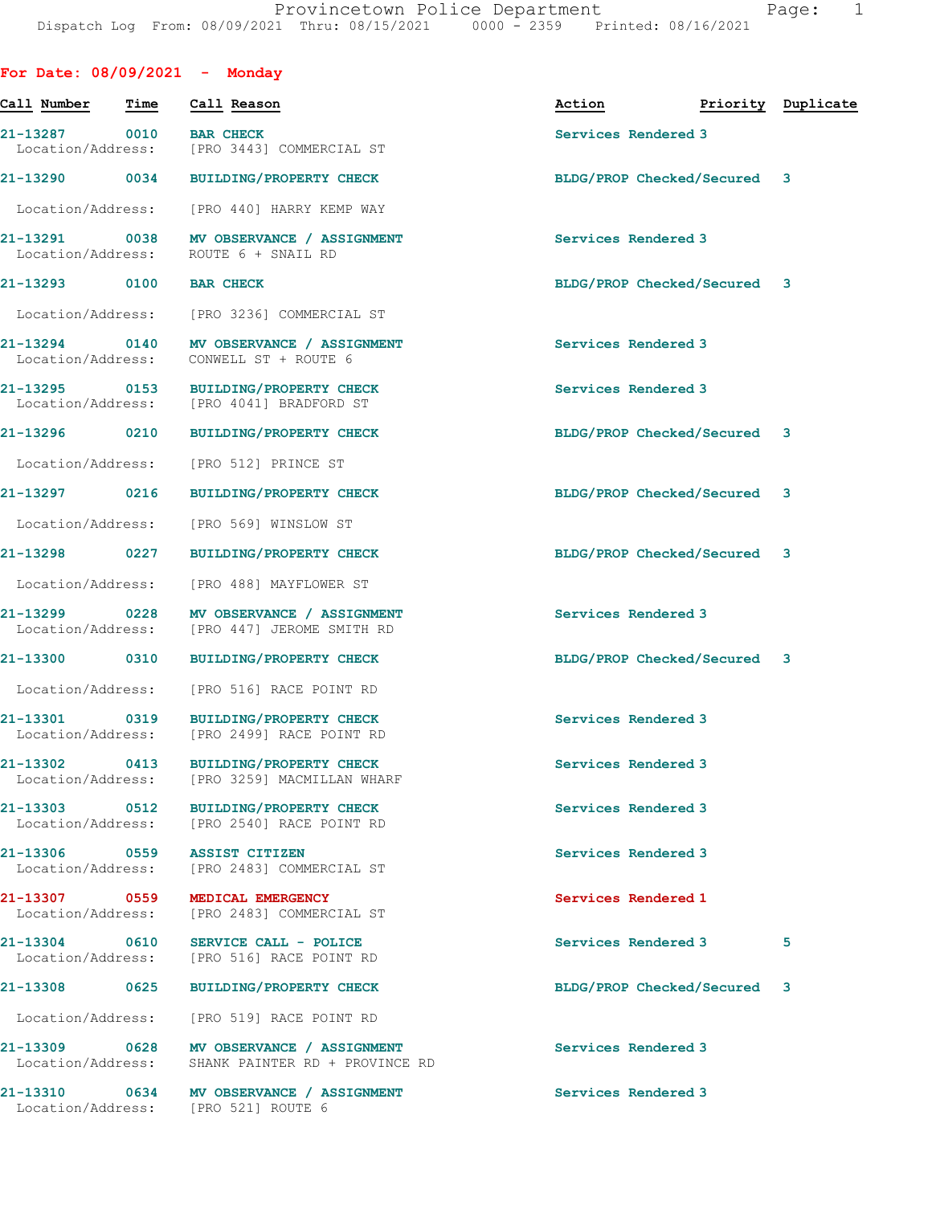| For Date: $08/09/2021$ - Monday    |      |                                                                                  |                     |                             |                    |
|------------------------------------|------|----------------------------------------------------------------------------------|---------------------|-----------------------------|--------------------|
| Call Number                        | Time | Call Reason                                                                      | Action              |                             | Priority Duplicate |
| 21-13287 0010<br>Location/Address: |      | <b>BAR CHECK</b><br>[PRO 3443] COMMERCIAL ST                                     | Services Rendered 3 |                             |                    |
| 21-13290 0034                      |      | <b>BUILDING/PROPERTY CHECK</b>                                                   |                     | BLDG/PROP Checked/Secured 3 |                    |
|                                    |      | Location/Address: [PRO 440] HARRY KEMP WAY                                       |                     |                             |                    |
|                                    |      | 21-13291 0038 MV OBSERVANCE / ASSIGNMENT<br>Location/Address: ROUTE 6 + SNAIL RD | Services Rendered 3 |                             |                    |
| 21-13293 0100                      |      | <b>BAR CHECK</b>                                                                 |                     | BLDG/PROP Checked/Secured 3 |                    |
| Location/Address:                  |      | [PRO 3236] COMMERCIAL ST                                                         |                     |                             |                    |
| 21-13294 0140<br>Location/Address: |      | MV OBSERVANCE / ASSIGNMENT<br>CONWELL ST + ROUTE 6                               | Services Rendered 3 |                             |                    |
| 21-13295 0153<br>Location/Address: |      | <b>BUILDING/PROPERTY CHECK</b><br>[PRO 4041] BRADFORD ST                         | Services Rendered 3 |                             |                    |
| 21-13296 0210                      |      | <b>BUILDING/PROPERTY CHECK</b>                                                   |                     | BLDG/PROP Checked/Secured 3 |                    |
| Location/Address:                  |      | [PRO 512] PRINCE ST                                                              |                     |                             |                    |
| 21-13297 0216                      |      | <b>BUILDING/PROPERTY CHECK</b>                                                   |                     | BLDG/PROP Checked/Secured 3 |                    |
| Location/Address:                  |      | [PRO 569] WINSLOW ST                                                             |                     |                             |                    |
| 21-13298 0227                      |      | BUILDING/PROPERTY CHECK                                                          |                     | BLDG/PROP Checked/Secured 3 |                    |
| Location/Address:                  |      | [PRO 488] MAYFLOWER ST                                                           |                     |                             |                    |
| 21-13299 0228                      |      | MV OBSERVANCE / ASSIGNMENT<br>Location/Address: [PRO 447] JEROME SMITH RD        | Services Rendered 3 |                             |                    |
| 21-13300 0310                      |      | <b>BUILDING/PROPERTY CHECK</b>                                                   |                     | BLDG/PROP Checked/Secured 3 |                    |
| Location/Address:                  |      | [PRO 516] RACE POINT RD                                                          |                     |                             |                    |
| 21-13301                           |      | 0319 BUILDING/PROPERTY CHECK<br>Location/Address: [PRO 2499] RACE POINT RD       | Services Rendered 3 |                             |                    |
| 21-13302 0413<br>Location/Address: |      | <b>BUILDING/PROPERTY CHECK</b><br>[PRO 3259] MACMILLAN WHARF                     | Services Rendered 3 |                             |                    |
| 21-13303 0512<br>Location/Address: |      | <b>BUILDING/PROPERTY CHECK</b><br>[PRO 2540] RACE POINT RD                       | Services Rendered 3 |                             |                    |
| 21-13306 0559<br>Location/Address: |      | <b>ASSIST CITIZEN</b><br>[PRO 2483] COMMERCIAL ST                                | Services Rendered 3 |                             |                    |
| 21-13307 0559<br>Location/Address: |      | MEDICAL EMERGENCY<br>[PRO 2483] COMMERCIAL ST                                    | Services Rendered 1 |                             |                    |
| 21-13304 0610                      |      | SERVICE CALL - POLICE<br>Location/Address: [PRO 516] RACE POINT RD               | Services Rendered 3 |                             | 5                  |
| 21-13308                           | 0625 | <b>BUILDING/PROPERTY CHECK</b>                                                   |                     | BLDG/PROP Checked/Secured 3 |                    |
| Location/Address:                  |      | [PRO 519] RACE POINT RD                                                          |                     |                             |                    |
| 21-13309 0628<br>Location/Address: |      | MV OBSERVANCE / ASSIGNMENT<br>SHANK PAINTER RD + PROVINCE RD                     | Services Rendered 3 |                             |                    |
|                                    |      | 21-13310 0634 MV OBSERVANCE / ASSIGNMENT<br>Location/Address: [PRO 521] ROUTE 6  | Services Rendered 3 |                             |                    |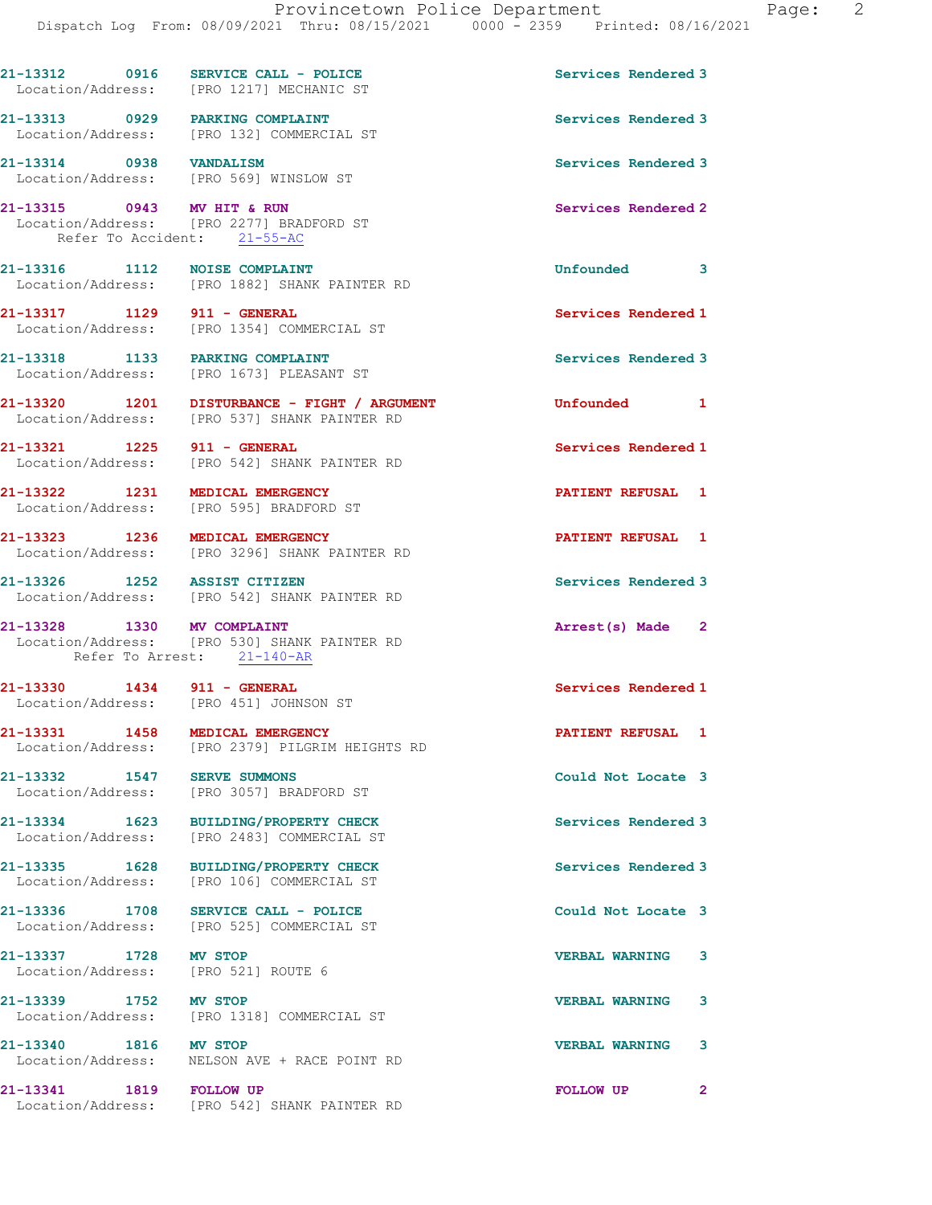|                                                                       | $21-13312$ 0916 SERVICE CALL - POLICE<br>Location/Address: [PRO 1217] MECHANIC ST            | Services Rendered 3   |              |
|-----------------------------------------------------------------------|----------------------------------------------------------------------------------------------|-----------------------|--------------|
|                                                                       | 21-13313 0929 PARKING COMPLAINT<br>Location/Address: [PRO 132] COMMERCIAL ST                 | Services Rendered 3   |              |
| 21-13314 0938 VANDALISM<br>Location/Address: [PRO 569] WINSLOW ST     |                                                                                              | Services Rendered 3   |              |
| 21-13315 0943 MV HIT & RUN<br>Refer To Accident: 21-55-AC             | Location/Address: [PRO 2277] BRADFORD ST                                                     | Services Rendered 2   |              |
| 21-13316 1112 NOISE COMPLAINT                                         | Location/Address: [PRO 1882] SHANK PAINTER RD                                                | Unfounded 3           |              |
| 21-13317 1129 911 - GENERAL                                           | Location/Address: [PRO 1354] COMMERCIAL ST                                                   | Services Rendered 1   |              |
| 21-13318 1133 PARKING COMPLAINT                                       | Location/Address: [PRO 1673] PLEASANT ST                                                     | Services Rendered 3   |              |
|                                                                       | 21-13320 1201 DISTURBANCE - FIGHT / ARGUMENT<br>Location/Address: [PRO 537] SHANK PAINTER RD | Unfounded 1           |              |
|                                                                       | 21-13321 1225 911 - GENERAL<br>Location/Address: [PRO 542] SHANK PAINTER RD                  | Services Rendered 1   |              |
|                                                                       | 21-13322 1231 MEDICAL EMERGENCY<br>Location/Address: [PRO 595] BRADFORD ST                   | PATIENT REFUSAL 1     |              |
| 21-13323 1236 MEDICAL EMERGENCY                                       | Location/Address: [PRO 3296] SHANK PAINTER RD                                                | PATIENT REFUSAL 1     |              |
| 21-13326 1252 ASSIST CITIZEN                                          | Location/Address: [PRO 542] SHANK PAINTER RD                                                 | Services Rendered 3   |              |
| 21-13328 1330 MV COMPLAINT                                            | Location/Address: [PRO 530] SHANK PAINTER RD<br>Refer To Arrest: 21-140-AR                   | Arrest(s) Made 2      |              |
| 21-13330 1434 911 - GENERAL<br>Location/Address: [PRO 451] JOHNSON ST |                                                                                              | Services Rendered 1   |              |
| 21-13331 1458                                                         | MEDICAL EMERGENCY<br>Location/Address: [PRO 2379] PILGRIM HEIGHTS RD                         | PATIENT REFUSAL 1     |              |
| 21-13332 1547                                                         | <b>SERVE SUMMONS</b><br>Location/Address: [PRO 3057] BRADFORD ST                             | Could Not Locate 3    |              |
|                                                                       | 21-13334 1623 BUILDING/PROPERTY CHECK<br>Location/Address: [PRO 2483] COMMERCIAL ST          | Services Rendered 3   |              |
|                                                                       | 21-13335 1628 BUILDING/PROPERTY CHECK<br>Location/Address: [PRO 106] COMMERCIAL ST           | Services Rendered 3   |              |
| 21-13336 1708                                                         | SERVICE CALL - POLICE<br>Location/Address: [PRO 525] COMMERCIAL ST                           | Could Not Locate 3    |              |
| 21-13337 1728 MV STOP<br>Location/Address: [PRO 521] ROUTE 6          |                                                                                              | <b>VERBAL WARNING</b> | 3            |
| 21-13339 1752 MV STOP                                                 | Location/Address: [PRO 1318] COMMERCIAL ST                                                   | <b>VERBAL WARNING</b> | 3            |
| 21-13340 1816 MV STOP                                                 | Location/Address: NELSON AVE + RACE POINT RD                                                 | <b>VERBAL WARNING</b> | 3            |
| 21-13341 1819 FOLLOW UP                                               | Location/Address: [PRO 542] SHANK PAINTER RD                                                 | <b>FOLLOW UP</b>      | $\mathbf{2}$ |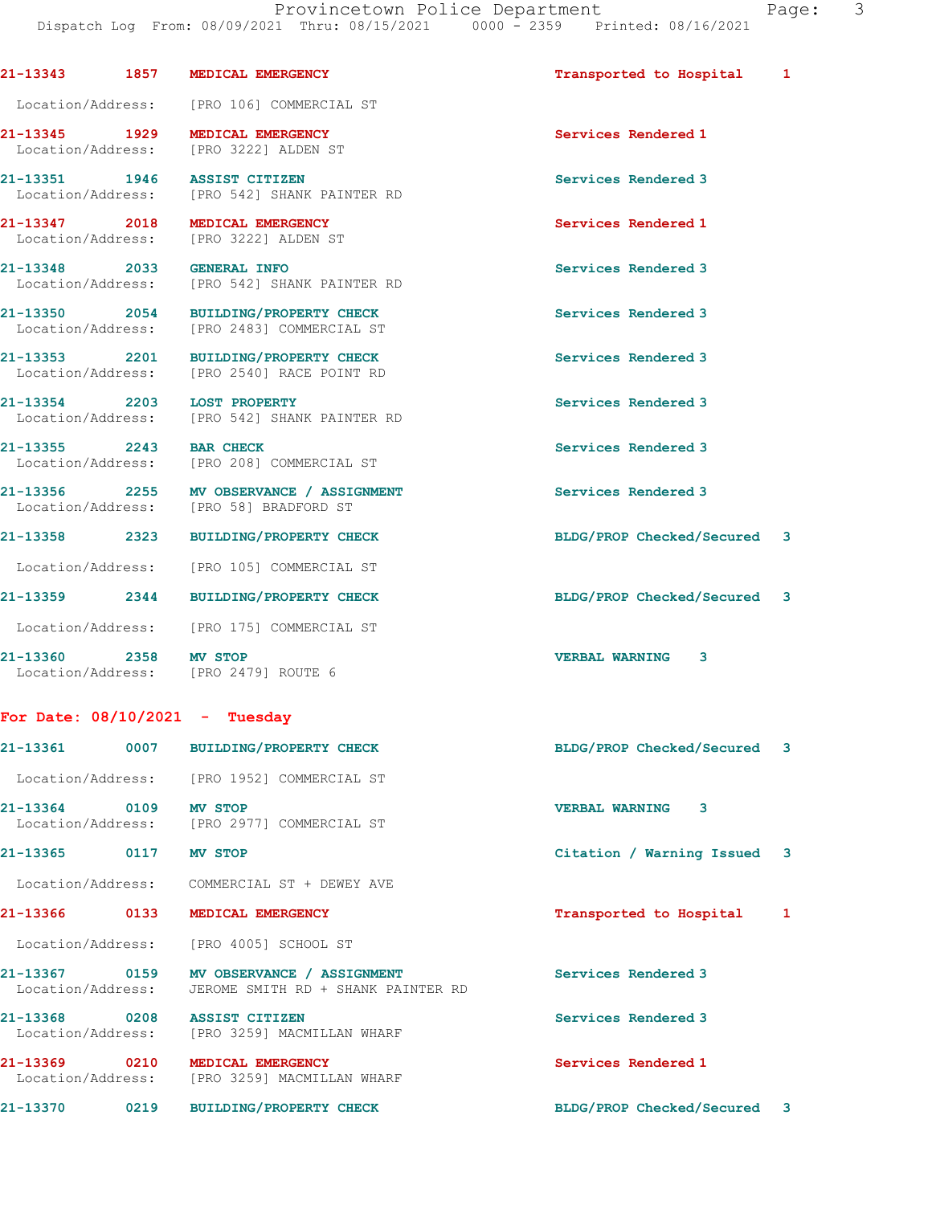21-13343 1857 MEDICAL EMERGENCY **1857 MEDICAL EMERGENCY** 1868 1999 121-13343 1 Location/Address: [PRO 106] COMMERCIAL ST 21-13345 1929 MEDICAL EMERGENCY Services Rendered 1 Location/Address: [PRO 3222] ALDEN ST 21-13351 1946 ASSIST CITIZEN Services Rendered 3 Location/Address: [PRO 542] SHANK PAINTER RD 21-13347 2018 MEDICAL EMERGENCY Services Rendered 1 Location/Address: [PRO 3222] ALDEN ST 21-13348 2033 GENERAL INFO Services Rendered 3 Location/Address: [PRO 542] SHANK PAINTER RD 21-13350 2054 BUILDING/PROPERTY CHECK Services Rendered 3 Location/Address: [PRO 2483] COMMERCIAL ST

21-13353 2201 BUILDING/PROPERTY CHECK Services Rendered 3 Location/Address: [PRO 2540] RACE POINT RD

21-13354 2203 LOST PROPERTY **Services Rendered 3** Location/Address: [PRO 542] SHANK PAINTER RD

21-13355 2243 BAR CHECK Services Rendered 3 Location/Address: [PRO 208] COMMERCIAL ST

21-13356 2255 MV OBSERVANCE / ASSIGNMENT Services Rendered 3 Location/Address: [PRO 58] BRADFORD ST

21-13358 2323 BUILDING/PROPERTY CHECK BLDG/PROP Checked/Secured 3

Location/Address: [PRO 105] COMMERCIAL ST

21-13359 2344 BUILDING/PROPERTY CHECK BLDG/PROP Checked/Secured 3 Location/Address: [PRO 175] COMMERCIAL ST

21-13360 2358 MV STOP VERBAL WARNING 3 Location/Address:

## For Date: 08/10/2021 - Tuesday

|                              | 21-13361 0007 BUILDING/PROPERTY CHECK                                          | BLDG/PROP Checked/Secured 3 |  |
|------------------------------|--------------------------------------------------------------------------------|-----------------------------|--|
|                              | Location/Address: [PRO 1952] COMMERCIAL ST                                     |                             |  |
| 21-13364 0109                | <b>MV STOP</b><br>Location/Address: [PRO 2977] COMMERCIAL ST                   | 3<br><b>VERBAL WARNING</b>  |  |
| 21-13365 0117                | MV STOP                                                                        | Citation / Warning Issued 3 |  |
|                              | Location/Address: COMMERCIAL ST + DEWEY AVE                                    |                             |  |
| 21-13366 0133                | MEDICAL EMERGENCY                                                              | Transported to Hospital 1   |  |
|                              | Location/Address: [PRO 4005] SCHOOL ST                                         |                             |  |
| Location/Address:            | 21-13367 0159 MV OBSERVANCE / ASSIGNMENT<br>JEROME SMITH RD + SHANK PAINTER RD | Services Rendered 3         |  |
| 21-13368 0208 ASSIST CITIZEN | Location/Address: [PRO 3259] MACMILLAN WHARF                                   | Services Rendered 3         |  |
| 21-13369 0210                | MEDICAL EMERGENCY<br>Location/Address: [PRO 3259] MACMILLAN WHARF              | Services Rendered 1         |  |
| 0219<br>21-13370             | <b>BUILDING/PROPERTY CHECK</b>                                                 | BLDG/PROP Checked/Secured 3 |  |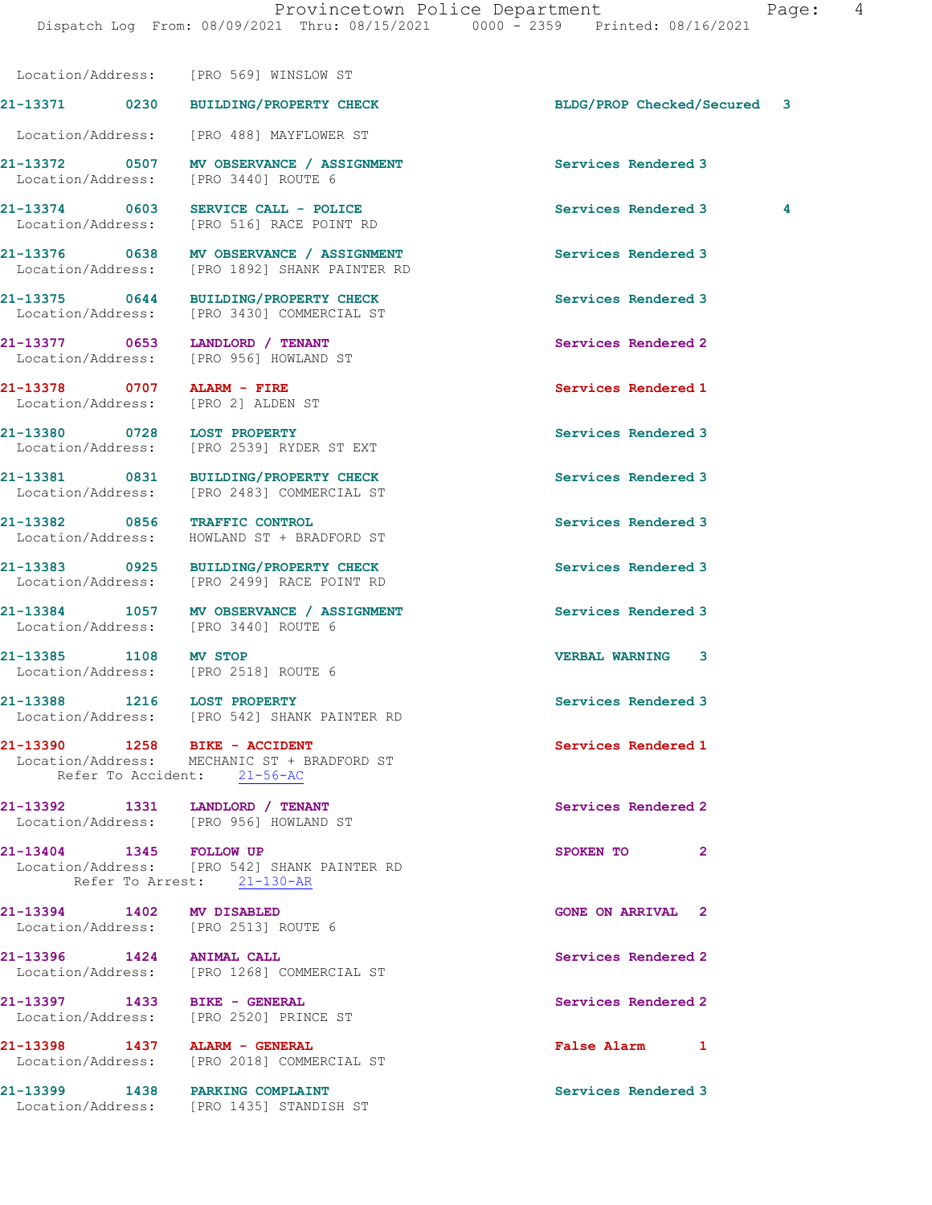21-13371 0230 BUILDING/PROPERTY CHECK BLDG/PROP Checked/Secured 3

Location/Address: [PRO 569] WINSLOW ST

 Location/Address: [PRO 488] MAYFLOWER ST 21-13372 0507 MV OBSERVANCE / ASSIGNMENT Services Rendered 3 Location/Address: [PRO 3440] ROUTE 6 21-13374 0603 SERVICE CALL - POLICE Services Rendered 3 4 Location/Address: [PRO 516] RACE POINT RD 21-13376 0638 MV OBSERVANCE / ASSIGNMENT Services Rendered 3 Location/Address: [PRO 1892] SHANK PAINTER RD 21-13375 0644 BUILDING/PROPERTY CHECK Services Rendered 3 Location/Address: [PRO 3430] COMMERCIAL ST 21-13377 0653 LANDLORD / TENANT Services Rendered 2 Location/Address: [PRO 956] HOWLAND ST 21-13378 0707 ALARM - FIRE Services Rendered 1 Location/Address: [PRO 2] ALDEN ST 21-13380 0728 LOST PROPERTY Services Rendered 3<br>
Location/Address: [PRO 2539] RYDER ST EXT Location/Address: [PRO 2539] RYDER ST EXT 21-13381 0831 BUILDING/PROPERTY CHECK Services Rendered 3 Location/Address: [PRO 2483] COMMERCIAL ST 21-13382 0856 TRAFFIC CONTROL Services Rendered 3 Location/Address: HOWLAND ST + BRADFORD ST 21-13383 0925 BUILDING/PROPERTY CHECK Services Rendered 3 Location/Address: [PRO 2499] RACE POINT RD 21-13384 1057 MV OBSERVANCE / ASSIGNMENT Services Rendered 3 Location/Address: [PRO 3440] ROUTE 6 21-13385 1108 MV STOP VERBAL WARNING 3 Location/Address: [PRO 2518] ROUTE 6 21-13388 1216 LOST PROPERTY Services Rendered 3 Location/Address: [PRO 542] SHANK PAINTER RD 21-13390 1258 BIKE - ACCIDENT Services Rendered 1 Location/Address: MECHANIC ST + BRADFORD ST Refer To Accident: 21-56-AC 21-13392 1331 LANDLORD / TENANT Services Rendered 2 Location/Address: [PRO 956] HOWLAND ST 21-13404 1345 FOLLOW UP 2012 13404 221-13404 2 Location/Address: [PRO 542] SHANK PAINTER RD Refer To Arrest: 21-130-AR 21-13394 1402 MV DISABLED GONE ON ARRIVAL 2 Location/Address: [PRO 2513] ROUTE 6 21-13396 1424 ANIMAL CALL Services Rendered 2 Location/Address: [PRO 1268] COMMERCIAL ST 21-13397 1433 BIKE - GENERAL Services Rendered 2 Location/Address: [PRO 2520] PRINCE ST 21-13398 1437 ALARM - GENERAL False Alarm 1 Location/Address: [PRO 2018] COMMERCIAL ST 21-13399 1438 PARKING COMPLAINT Services Rendered 3 Location/Address: [PRO 1435] STANDISH ST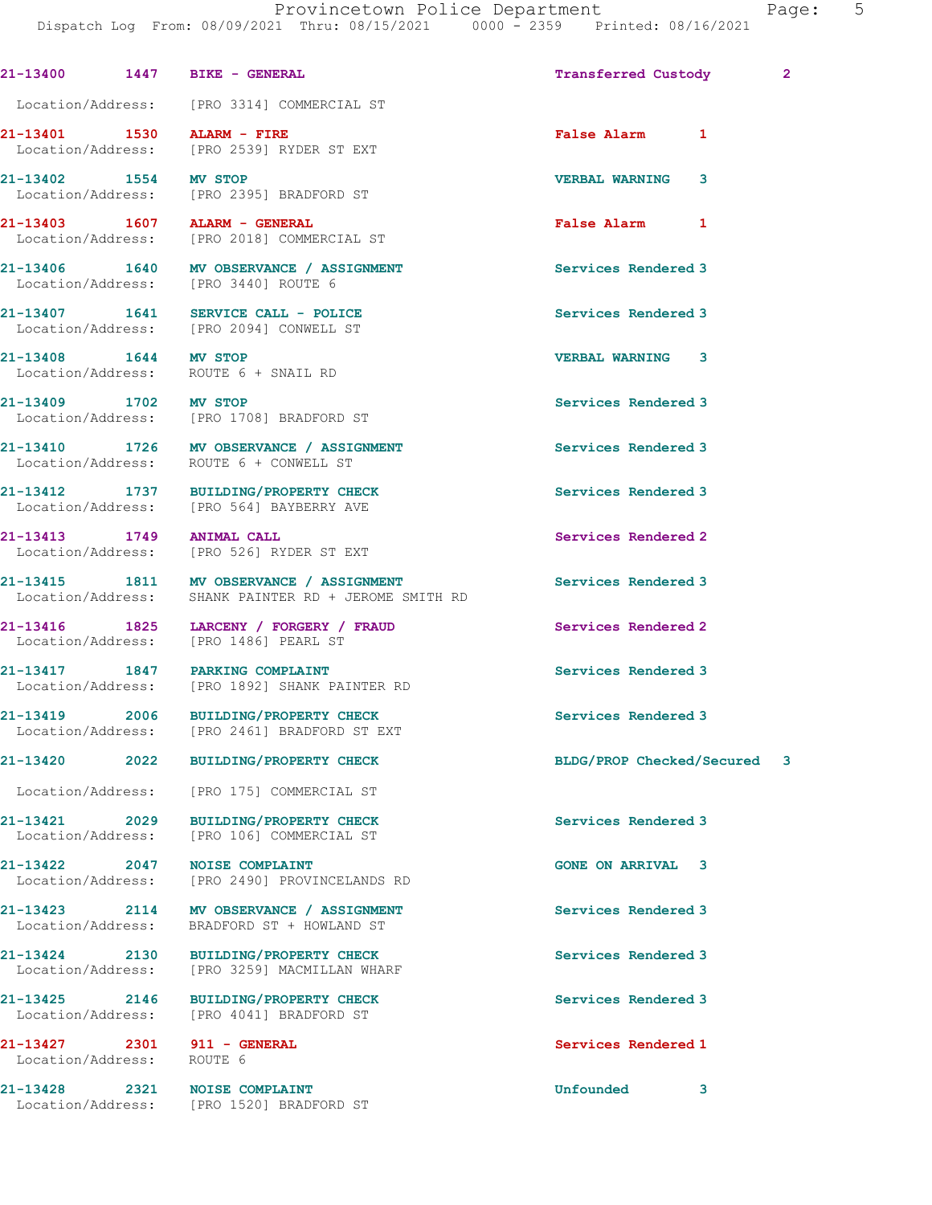|                                            | 21-13400 1447 BIKE - GENERAL                                                                     | <b>Transferred Custody</b> | $\mathbf{2}$ |
|--------------------------------------------|--------------------------------------------------------------------------------------------------|----------------------------|--------------|
|                                            | Location/Address: [PRO 3314] COMMERCIAL ST                                                       |                            |              |
| 21-13401 1530                              | ALARM - FIRE<br>Location/Address: [PRO 2539] RYDER ST EXT                                        | False Alarm 1              |              |
| 21-13402 1554                              | <b>MV STOP</b><br>Location/Address: [PRO 2395] BRADFORD ST                                       | <b>VERBAL WARNING</b><br>3 |              |
| Location/Address:                          | [PRO 2018] COMMERCIAL ST                                                                         | <b>False Alarm</b><br>1    |              |
| 21-13406 1640                              | MV OBSERVANCE / ASSIGNMENT<br>Location/Address: [PRO 3440] ROUTE 6                               | Services Rendered 3        |              |
|                                            | 21-13407 1641 SERVICE CALL - POLICE<br>Location/Address: [PRO 2094] CONWELL ST                   | Services Rendered 3        |              |
| 21-13408 1644<br>Location/Address:         | <b>MV STOP</b><br>ROUTE 6 + SNAIL RD                                                             | <b>VERBAL WARNING 3</b>    |              |
| 21-13409 1702 MV STOP<br>Location/Address: | [PRO 1708] BRADFORD ST                                                                           | Services Rendered 3        |              |
| 21-13410 1726<br>Location/Address:         | MV OBSERVANCE / ASSIGNMENT<br>ROUTE 6 + CONWELL ST                                               | Services Rendered 3        |              |
|                                            | 21-13412 1737 BUILDING/PROPERTY CHECK<br>Location/Address: [PRO 564] BAYBERRY AVE                | Services Rendered 3        |              |
| 21-13413 1749                              | <b>ANIMAL CALL</b><br>Location/Address: [PRO 526] RYDER ST EXT                                   | Services Rendered 2        |              |
|                                            | 21-13415 1811 MV OBSERVANCE / ASSIGNMENT<br>Location/Address: SHANK PAINTER RD + JEROME SMITH RD | Services Rendered 3        |              |
| 21-13416 1825<br>Location/Address:         | LARCENY / FORGERY / FRAUD<br>[PRO 1486] PEARL ST                                                 | Services Rendered 2        |              |
|                                            | 21-13417 1847 PARKING COMPLAINT<br>Location/Address: [PRO 1892] SHANK PAINTER RD                 | Services Rendered 3        |              |
|                                            | 21-13419 2006 BUILDING/PROPERTY CHECK<br>Location/Address: [PRO 2461] BRADFORD ST EXT            | Services Rendered 3        |              |
|                                            | 21-13420 2022 BUILDING/PROPERTY CHECK                                                            | BLDG/PROP Checked/Secured  | 3            |
|                                            | Location/Address: [PRO 175] COMMERCIAL ST                                                        |                            |              |
| 21-13421 2029<br>Location/Address:         | <b>BUILDING/PROPERTY CHECK</b><br>[PRO 106] COMMERCIAL ST                                        | Services Rendered 3        |              |
| 21-13422 2047                              | <b>NOISE COMPLAINT</b><br>Location/Address: [PRO 2490] PROVINCELANDS RD                          | <b>GONE ON ARRIVAL 3</b>   |              |
| 21-13423 2114<br>Location/Address:         | MV OBSERVANCE / ASSIGNMENT<br>BRADFORD ST + HOWLAND ST                                           | Services Rendered 3        |              |
| 21-13424 2130<br>Location/Address:         | <b>BUILDING/PROPERTY CHECK</b><br>[PRO 3259] MACMILLAN WHARF                                     | Services Rendered 3        |              |
| 21-13425 2146<br>Location/Address:         | <b>BUILDING/PROPERTY CHECK</b><br>[PRO 4041] BRADFORD ST                                         | Services Rendered 3        |              |
| Location/Address: ROUTE 6                  | 21-13427 2301 911 - GENERAL                                                                      | Services Rendered 1        |              |
|                                            | 21-13428 2321 NOISE COMPLAINT<br>Location/Address: [PRO 1520] BRADFORD ST                        | Unfounded<br>3             |              |
|                                            |                                                                                                  |                            |              |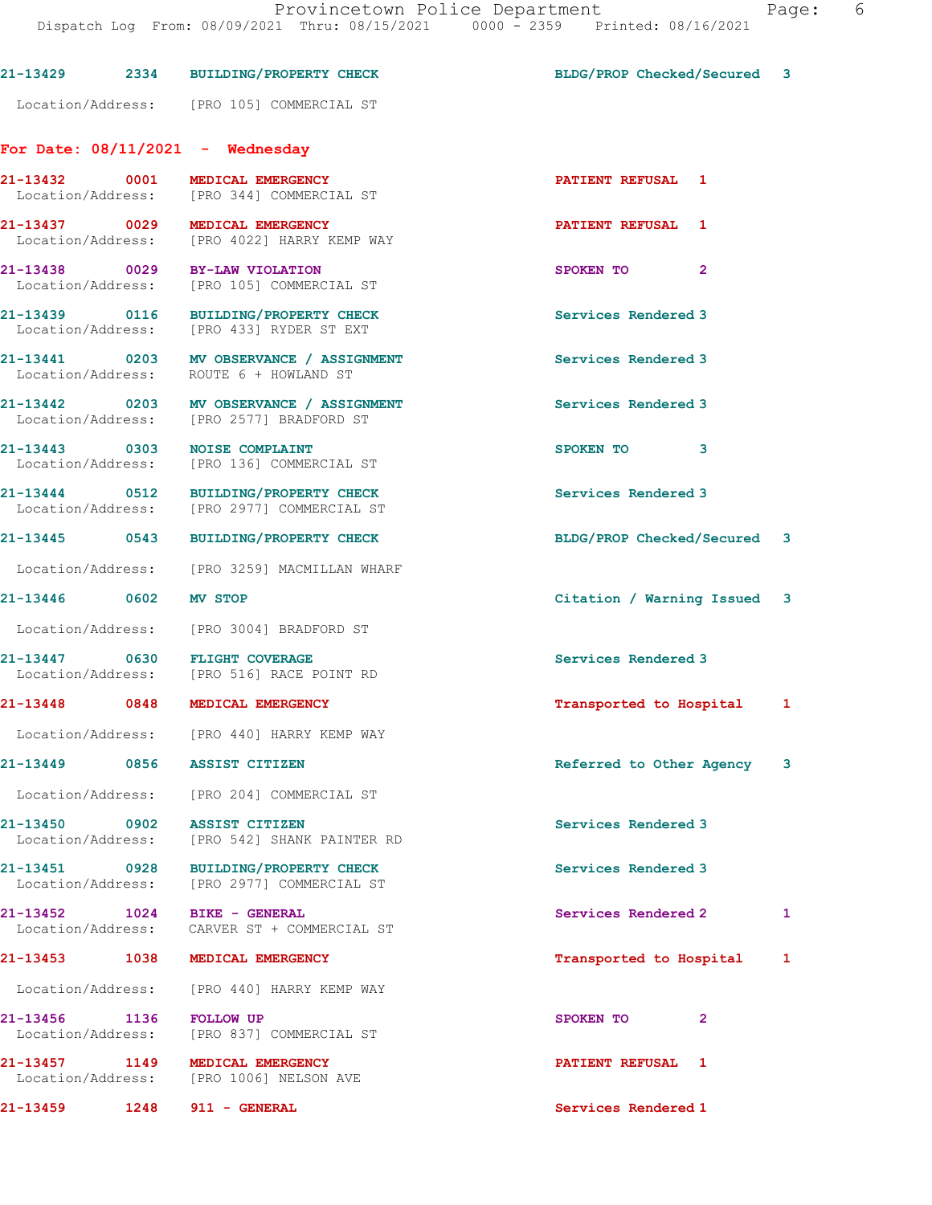|                                    | 21-13429 2334 BUILDING/PROPERTY CHECK                                                | BLDG/PROP Checked/Secured 3 |                |   |
|------------------------------------|--------------------------------------------------------------------------------------|-----------------------------|----------------|---|
|                                    | Location/Address: [PRO 105] COMMERCIAL ST                                            |                             |                |   |
|                                    | For Date: $08/11/2021$ - Wednesday                                                   |                             |                |   |
| 21-13432 0001                      | MEDICAL EMERGENCY<br>Location/Address: [PRO 344] COMMERCIAL ST                       | <b>PATIENT REFUSAL 1</b>    |                |   |
|                                    | 21-13437 0029 MEDICAL EMERGENCY<br>Location/Address: [PRO 4022] HARRY KEMP WAY       | PATIENT REFUSAL 1           |                |   |
|                                    | 21-13438 0029 BY-LAW VIOLATION<br>Location/Address: [PRO 105] COMMERCIAL ST          | SPOKEN TO                   | $\mathbf{2}$   |   |
|                                    | 21-13439 0116 BUILDING/PROPERTY CHECK<br>Location/Address: [PRO 433] RYDER ST EXT    | Services Rendered 3         |                |   |
|                                    | 21-13441 0203 MV OBSERVANCE / ASSIGNMENT<br>Location/Address: ROUTE 6 + HOWLAND ST   | Services Rendered 3         |                |   |
|                                    | 21-13442 0203 MV OBSERVANCE / ASSIGNMENT<br>Location/Address: [PRO 2577] BRADFORD ST | Services Rendered 3         |                |   |
|                                    | 21-13443 0303 NOISE COMPLAINT<br>Location/Address: [PRO 136] COMMERCIAL ST           | SPOKEN TO                   | 3              |   |
|                                    | 21-13444 0512 BUILDING/PROPERTY CHECK<br>Location/Address: [PRO 2977] COMMERCIAL ST  | Services Rendered 3         |                |   |
|                                    | 21-13445 0543 BUILDING/PROPERTY CHECK                                                | BLDG/PROP Checked/Secured 3 |                |   |
|                                    | Location/Address: [PRO 3259] MACMILLAN WHARF                                         |                             |                |   |
| 21-13446 0602 MV STOP              |                                                                                      | Citation / Warning Issued 3 |                |   |
|                                    | Location/Address: [PRO 3004] BRADFORD ST                                             |                             |                |   |
|                                    | 21-13447 0630 FLIGHT COVERAGE<br>Location/Address: [PRO 516] RACE POINT RD           | Services Rendered 3         |                |   |
|                                    | 21-13448 0848 MEDICAL EMERGENCY                                                      | Transported to Hospital 1   |                |   |
|                                    | Location/Address: [PRO 440] HARRY KEMP WAY                                           |                             |                |   |
| 21-13449                           | 0856 ASSIST CITIZEN                                                                  | Referred to Other Agency    |                | 3 |
|                                    | Location/Address: [PRO 204] COMMERCIAL ST                                            |                             |                |   |
|                                    | 21-13450 0902 ASSIST CITIZEN<br>Location/Address: [PRO 542] SHANK PAINTER RD         | Services Rendered 3         |                |   |
|                                    | 21-13451 0928 BUILDING/PROPERTY CHECK<br>Location/Address: [PRO 2977] COMMERCIAL ST  | Services Rendered 3         |                |   |
| 21-13452 1024<br>Location/Address: | <b>BIKE - GENERAL</b><br>CARVER ST + COMMERCIAL ST                                   | Services Rendered 2         |                | 1 |
| 21-13453                           | 1038 MEDICAL EMERGENCY                                                               | Transported to Hospital     |                | 1 |
|                                    | Location/Address: [PRO 440] HARRY KEMP WAY                                           |                             |                |   |
| 21-13456 1136<br>Location/Address: | <b>FOLLOW UP</b><br>[PRO 837] COMMERCIAL ST                                          | SPOKEN TO                   | $\overline{2}$ |   |
| 21-13457 1149                      | MEDICAL EMERGENCY<br>Location/Address: [PRO 1006] NELSON AVE                         | PATIENT REFUSAL 1           |                |   |
| 21-13459 1248                      | 911 - GENERAL                                                                        | Services Rendered 1         |                |   |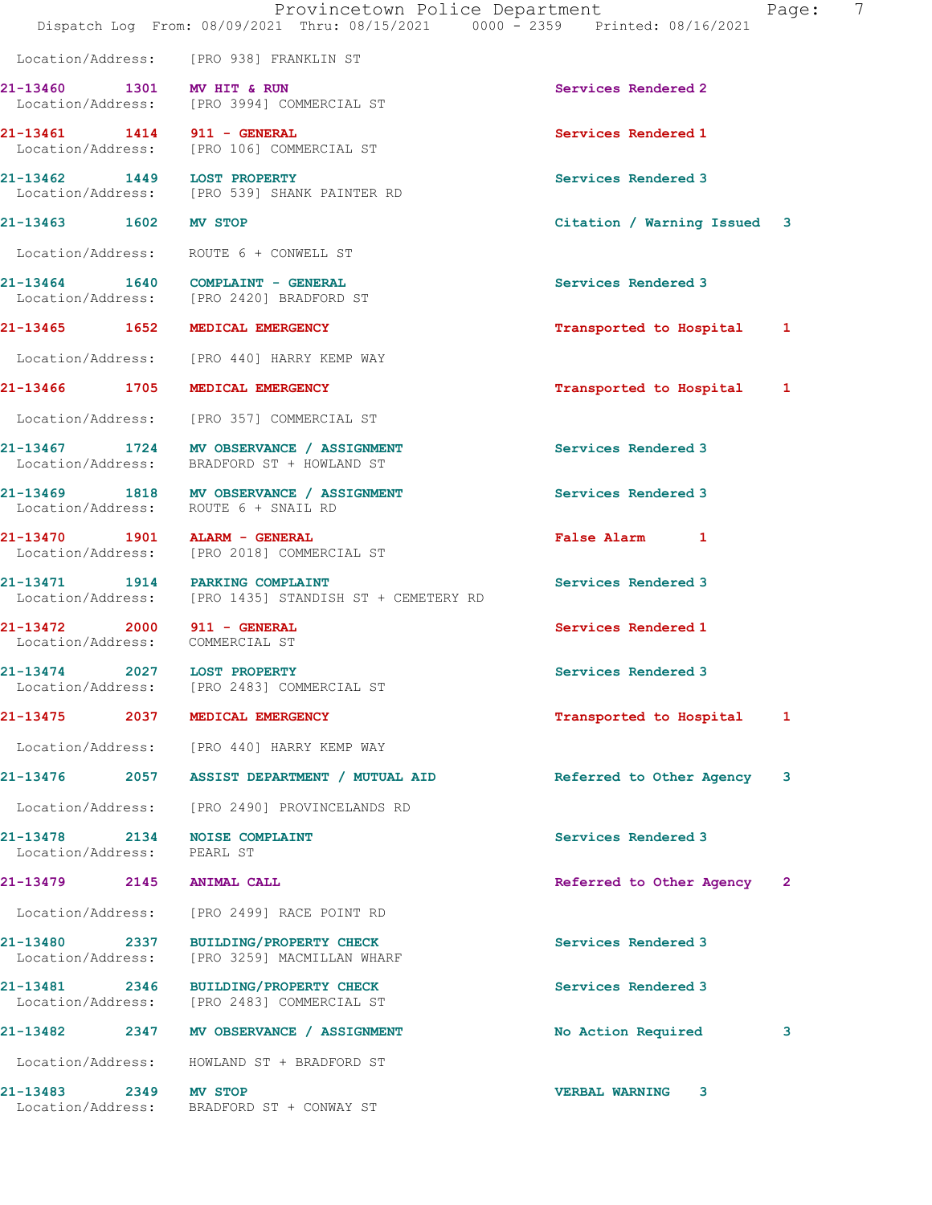|                                                                |      | Provincetown Police Department<br>Dispatch Log From: 08/09/2021 Thru: 08/15/2021 0000 - 2359 Printed: 08/16/2021 |                             | -7<br>Page: |
|----------------------------------------------------------------|------|------------------------------------------------------------------------------------------------------------------|-----------------------------|-------------|
|                                                                |      | Location/Address: [PRO 938] FRANKLIN ST                                                                          |                             |             |
| 21-13460 1301 MV HIT & RUN                                     |      | Location/Address: [PRO 3994] COMMERCIAL ST                                                                       | Services Rendered 2         |             |
| 21-13461 1414 911 - GENERAL                                    |      | Location/Address: [PRO 106] COMMERCIAL ST                                                                        | Services Rendered 1         |             |
| 21-13462 1449 LOST PROPERTY                                    |      | Location/Address: [PRO 539] SHANK PAINTER RD                                                                     | Services Rendered 3         |             |
| 21-13463 1602 MV STOP                                          |      |                                                                                                                  | Citation / Warning Issued 3 |             |
|                                                                |      | Location/Address: ROUTE 6 + CONWELL ST                                                                           |                             |             |
|                                                                |      | 21-13464 1640 COMPLAINT - GENERAL<br>Location/Address: [PRO 2420] BRADFORD ST                                    | Services Rendered 3         |             |
|                                                                |      | 21-13465 1652 MEDICAL EMERGENCY                                                                                  | Transported to Hospital 1   |             |
|                                                                |      | Location/Address: [PRO 440] HARRY KEMP WAY                                                                       |                             |             |
|                                                                |      | 21-13466 1705 MEDICAL EMERGENCY                                                                                  | Transported to Hospital 1   |             |
|                                                                |      | Location/Address: [PRO 357] COMMERCIAL ST                                                                        |                             |             |
|                                                                |      | 21-13467 1724 MV OBSERVANCE / ASSIGNMENT<br>Location/Address: BRADFORD ST + HOWLAND ST                           | Services Rendered 3         |             |
|                                                                |      | 21-13469 1818 MV OBSERVANCE / ASSIGNMENT<br>Location/Address: ROUTE 6 + SNAIL RD                                 | Services Rendered 3         |             |
| 21-13470   1901   ALARM - GENERAL                              |      | Location/Address: [PRO 2018] COMMERCIAL ST                                                                       | False Alarm 1               |             |
|                                                                |      | 21-13471 1914 PARKING COMPLAINT<br>Location/Address: [PRO 1435] STANDISH ST + CEMETERY RD                        | Services Rendered 3         |             |
| 21-13472 2000 911 - GENERAL<br>Location/Address: COMMERCIAL ST |      |                                                                                                                  | Services Rendered 1         |             |
| 21-13474 2027 LOST PROPERTY                                    |      | Location/Address: [PRO 2483] COMMERCIAL ST                                                                       | Services Rendered 3         |             |
|                                                                |      | 21-13475 2037 MEDICAL EMERGENCY                                                                                  | Transported to Hospital     | 1           |
|                                                                |      | Location/Address: [PRO 440] HARRY KEMP WAY                                                                       |                             |             |
|                                                                |      |                                                                                                                  | Referred to Other Agency    | 3           |
|                                                                |      | Location/Address: [PRO 2490] PROVINCELANDS RD                                                                    |                             |             |
| 21-13478 2134 NOISE COMPLAINT<br>Location/Address:             |      | PEARL ST                                                                                                         | Services Rendered 3         |             |
| 21-13479 2145 ANIMAL CALL                                      |      |                                                                                                                  | Referred to Other Agency 2  |             |
|                                                                |      | Location/Address: [PRO 2499] RACE POINT RD                                                                       |                             |             |
| 21-13480<br>2337<br>Location/Address:                          |      | <b>BUILDING/PROPERTY CHECK</b><br>[PRO 3259] MACMILLAN WHARF                                                     | Services Rendered 3         |             |
| 21-13481 2346<br>Location/Address:                             |      | <b>BUILDING/PROPERTY CHECK</b><br>[PRO 2483] COMMERCIAL ST                                                       | Services Rendered 3         |             |
| 21-13482                                                       |      | 2347 MV OBSERVANCE / ASSIGNMENT                                                                                  | No Action Required          | 3           |
| Location/Address:                                              |      | HOWLAND ST + BRADFORD ST                                                                                         |                             |             |
| 21-13483                                                       | 2349 | MV STOP                                                                                                          | <b>VERBAL WARNING</b><br>3  |             |

Location/Address: BRADFORD ST + CONWAY ST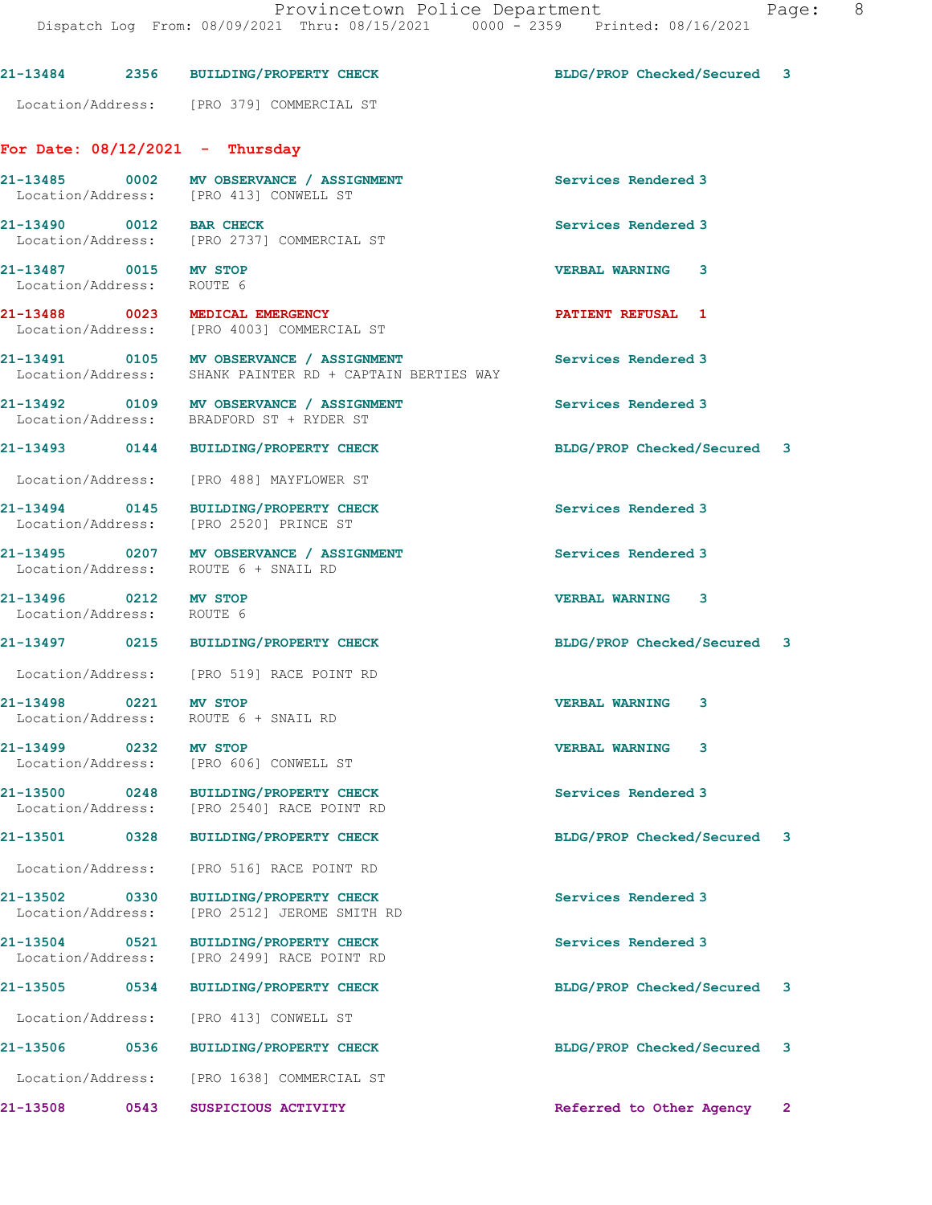#### 21-13484 2356 BUILDING/PROPERTY CHECK BLDG/PROP Checked/Secured 3

Location/Address: [PRO 379] COMMERCIAL ST

### For Date: 08/12/2021 - Thursday

21-13485 0002 MV OBSERVANCE / ASSIGNMENT Services Rendered 3 Location/Address: [PRO 413] CONWELL ST

21-13490 0012 BAR CHECK Services Rendered 3<br>
Location/Address: [PRO 2737] COMMERCIAL ST [PRO 2737] COMMERCIAL ST

21-13487 0015 MV STOP VERBAL WARNING 3 Location/Address: ROUTE 6

21-13488 0023 MEDICAL EMERGENCY PATIENT REFUSAL 1 Location/Address: [PRO 4003] COMMERCIAL ST

21-13491 0105 MV OBSERVANCE / ASSIGNMENT Services Rendered 3

21-13496 0212 MV STOP VERBAL WARNING 3 Location/Address: ROUTE 6

21-13498 0221 MV STOP VERBAL WARNING 3

21-13499 0232 MV STOP VERBAL WARNING 3

 Location/Address: SHANK PAINTER RD + CAPTAIN BERTIES WAY 21-13492 0109 MV OBSERVANCE / ASSIGNMENT Services Rendered 3

Location/Address: BRADFORD ST + RYDER ST

21-13493 0144 BUILDING/PROPERTY CHECK BLDG/PROP Checked/Secured 3

Location/Address: [PRO 488] MAYFLOWER ST

21-13494 0145 BUILDING/PROPERTY CHECK Services Rendered 3 Location/Address: [PRO 2520] PRINCE ST

21-13495 0207 MV OBSERVANCE / ASSIGNMENT Services Rendered 3<br>
Location/Address: ROUTE 6 + SNAIL RD ROUTE 6 + SNAIL RD

21-13497 0215 BUILDING/PROPERTY CHECK BLDG/PROP Checked/Secured 3

Location/Address: [PRO 519] RACE POINT RD

Location/Address: ROUTE 6 + SNAIL RD

Location/Address: [PRO 606] CONWELL ST

21-13500 0248 BUILDING/PROPERTY CHECK Services Rendered 3<br>
Location/Address: [PRO 2540] RACE POINT RD [PRO 2540] RACE POINT RD

Location/Address: [PRO 516] RACE POINT RD

21-13502 0330 BUILDING/PROPERTY CHECK Services Rendered 3 [PRO 2512] JEROME SMITH RD

21-13504 0521 BUILDING/PROPERTY CHECK Services Rendered 3 Location/Address: [PRO 2499] RACE POINT RD

Location/Address: [PRO 413] CONWELL ST

21-13506 0536 BUILDING/PROPERTY CHECK BLDG/PROP Checked/Secured 3

Location/Address: [PRO 1638] COMMERCIAL ST

21-13508 0543 SUSPICIOUS ACTIVITY Referred to Other Agency 2

21-13501 0328 BUILDING/PROPERTY CHECK BLDG/PROP Checked/Secured 3

21-13505 0534 BUILDING/PROPERTY CHECK BLDG/PROP Checked/Secured 3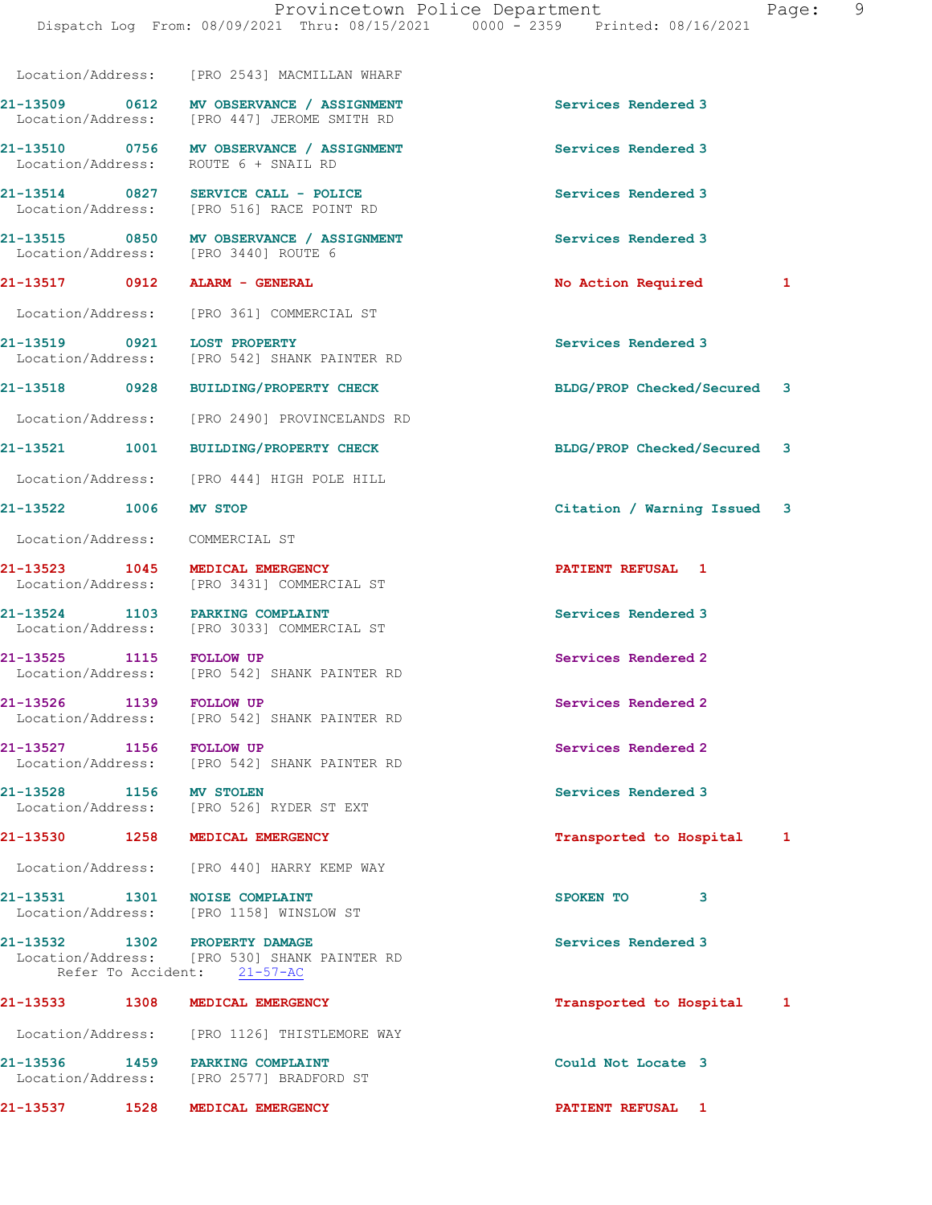|                                 | Location/Address: [PRO 2543] MACMILLAN WHARF                                            |                             |
|---------------------------------|-----------------------------------------------------------------------------------------|-----------------------------|
|                                 | 21-13509 0612 MV OBSERVANCE / ASSIGNMENT<br>Location/Address: [PRO 447] JEROME SMITH RD | Services Rendered 3         |
|                                 | 21-13510 0756 MV OBSERVANCE / ASSIGNMENT<br>Location/Address: ROUTE 6 + SNAIL RD        | Services Rendered 3         |
|                                 | 21-13514 0827 SERVICE CALL - POLICE<br>Location/Address: [PRO 516] RACE POINT RD        | Services Rendered 3         |
|                                 | 21-13515 0850 MV OBSERVANCE / ASSIGNMENT<br>Location/Address: [PRO 3440] ROUTE 6        | Services Rendered 3         |
| 21-13517 0912 ALARM - GENERAL   |                                                                                         | No Action Required 1        |
|                                 | Location/Address: [PRO 361] COMMERCIAL ST                                               |                             |
| 21-13519 0921 LOST PROPERTY     | Location/Address: [PRO 542] SHANK PAINTER RD                                            | Services Rendered 3         |
|                                 | 21-13518 0928 BUILDING/PROPERTY CHECK                                                   | BLDG/PROP Checked/Secured 3 |
|                                 | Location/Address: [PRO 2490] PROVINCELANDS RD                                           |                             |
|                                 | 21-13521 1001 BUILDING/PROPERTY CHECK                                                   | BLDG/PROP Checked/Secured 3 |
|                                 | Location/Address: [PRO 444] HIGH POLE HILL                                              |                             |
| 21-13522 1006 MV STOP           |                                                                                         | Citation / Warning Issued 3 |
| Location/Address: COMMERCIAL ST |                                                                                         |                             |
|                                 | 21-13523 1045 MEDICAL EMERGENCY<br>Location/Address: [PRO 3431] COMMERCIAL ST           | PATIENT REFUSAL 1           |
|                                 | 21-13524 1103 PARKING COMPLAINT<br>Location/Address: [PRO 3033] COMMERCIAL ST           | Services Rendered 3         |
| 21-13525 1115 FOLLOW UP         | Location/Address: [PRO 542] SHANK PAINTER RD                                            | Services Rendered 2         |
| 21-13526 1139 FOLLOW UP         | Location/Address: [PRO 542] SHANK PAINTER RD                                            | Services Rendered 2         |
| 21-13527 1156 FOLLOW UP         | Location/Address: [PRO 542] SHANK PAINTER RD                                            | Services Rendered 2         |
| 21-13528 1156 MV STOLEN         | Location/Address: [PRO 526] RYDER ST EXT                                                | Services Rendered 3         |
|                                 | 21-13530 1258 MEDICAL EMERGENCY                                                         | Transported to Hospital 1   |
|                                 | Location/Address: [PRO 440] HARRY KEMP WAY                                              |                             |
| 21-13531 1301 NOISE COMPLAINT   |                                                                                         | SPOKEN TO<br>3              |
|                                 | Location/Address: [PRO 1158] WINSLOW ST                                                 |                             |
| 21-13532 1302 PROPERTY DAMAGE   | Location/Address: [PRO 530] SHANK PAINTER RD<br>Refer To Accident: 21-57-AC             | Services Rendered 3         |
|                                 | 21-13533 1308 MEDICAL EMERGENCY                                                         | Transported to Hospital 1   |
|                                 | Location/Address: [PRO 1126] THISTLEMORE WAY                                            |                             |
|                                 | 21-13536 1459 PARKING COMPLAINT<br>Location/Address: [PRO 2577] BRADFORD ST             | Could Not Locate 3          |
| 21-13537 1528                   | MEDICAL EMERGENCY                                                                       | PATIENT REFUSAL 1           |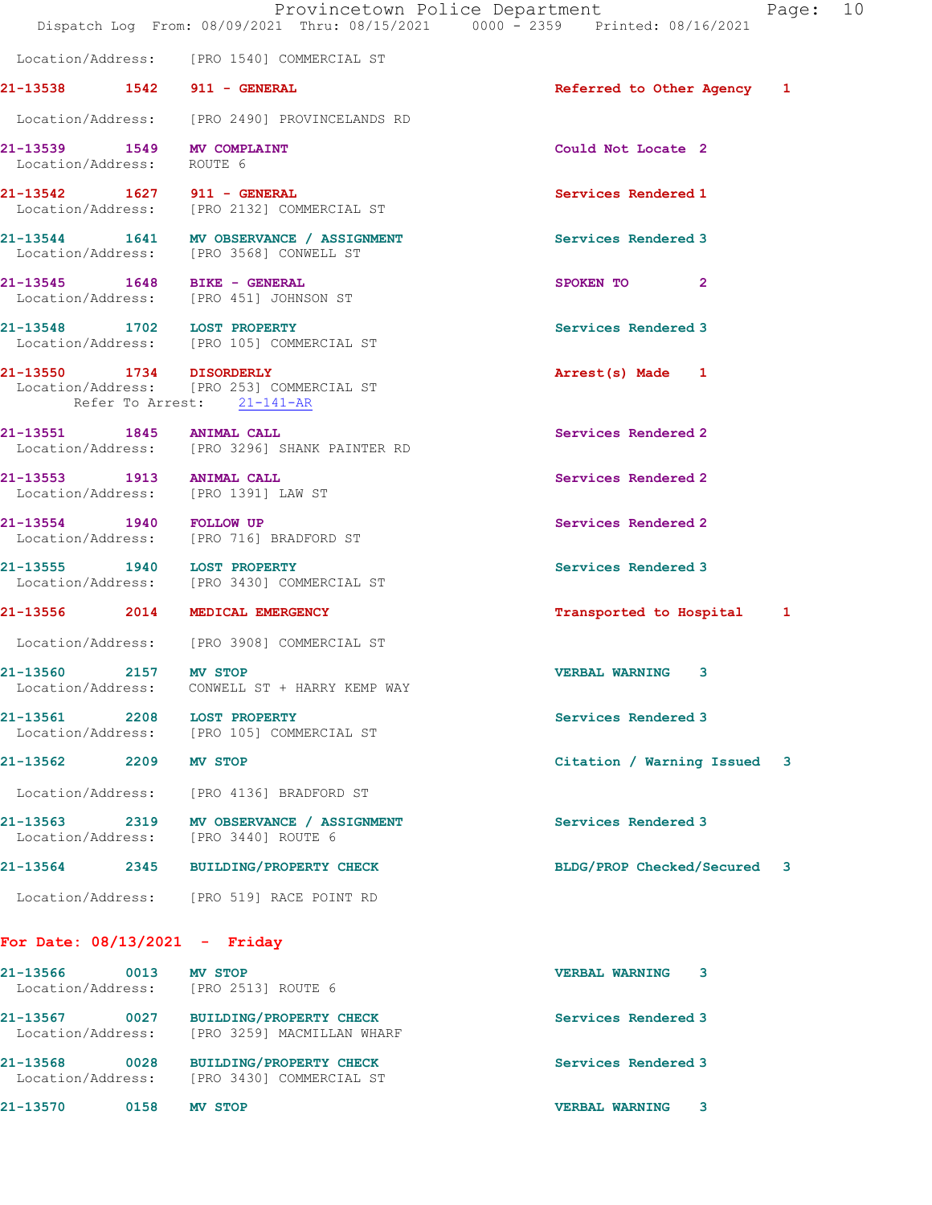|                                                         | Provincetown Police Department<br>Dispatch Log From: 08/09/2021 Thru: 08/15/2021 0000 - 2359 Printed: 08/16/2021 |                             | Page: 10 |  |
|---------------------------------------------------------|------------------------------------------------------------------------------------------------------------------|-----------------------------|----------|--|
|                                                         | Location/Address: [PRO 1540] COMMERCIAL ST                                                                       |                             |          |  |
| 21-13538 1542 911 - GENERAL                             |                                                                                                                  | Referred to Other Agency 1  |          |  |
|                                                         | Location/Address: [PRO 2490] PROVINCELANDS RD                                                                    |                             |          |  |
| 21-13539 1549 MV COMPLAINT<br>Location/Address: ROUTE 6 |                                                                                                                  | Could Not Locate 2          |          |  |
|                                                         | 21-13542 1627 911 - GENERAL<br>Location/Address: [PRO 2132] COMMERCIAL ST                                        | Services Rendered 1         |          |  |
|                                                         | 21-13544 1641 MV OBSERVANCE / ASSIGNMENT<br>Location/Address: [PRO 3568] CONWELL ST                              | Services Rendered 3         |          |  |
| 21-13545   1648   BIKE - GENERAL                        | Location/Address: [PRO 451] JOHNSON ST                                                                           | SPOKEN TO<br>$\mathbf{2}$   |          |  |
|                                                         | 21-13548 1702 LOST PROPERTY<br>Location/Address: [PRO 105] COMMERCIAL ST                                         | Services Rendered 3         |          |  |
| 21-13550 1734 DISORDERLY                                | Location/Address: [PRO 253] COMMERCIAL ST<br>Refer To Arrest: 21-141-AR                                          | Arrest(s) Made 1            |          |  |
| 21-13551 1845 ANIMAL CALL                               | Location/Address: [PRO 3296] SHANK PAINTER RD                                                                    | Services Rendered 2         |          |  |
| 21-13553 1913 ANIMAL CALL                               | Location/Address: [PRO 1391] LAW ST                                                                              | Services Rendered 2         |          |  |
|                                                         | 21-13554 1940 FOLLOW UP<br>Location/Address: [PRO 716] BRADFORD ST                                               | Services Rendered 2         |          |  |
|                                                         | 21-13555 1940 LOST PROPERTY<br>Location/Address: [PRO 3430] COMMERCIAL ST                                        | Services Rendered 3         |          |  |
|                                                         | 21-13556 2014 MEDICAL EMERGENCY                                                                                  | Transported to Hospital 1   |          |  |
|                                                         | Location/Address: [PRO 3908] COMMERCIAL ST                                                                       |                             |          |  |
| 21-13560 2157 MV STOP<br>Location/Address:              | CONWELL ST + HARRY KEMP WAY                                                                                      | <b>VERBAL WARNING 3</b>     |          |  |
| 21-13561 2208 LOST PROPERTY                             | Location/Address: [PRO 105] COMMERCIAL ST                                                                        | Services Rendered 3         |          |  |
| 21-13562 2209 MV STOP                                   |                                                                                                                  | Citation / Warning Issued 3 |          |  |
|                                                         | Location/Address: [PRO 4136] BRADFORD ST                                                                         |                             |          |  |
|                                                         | 21-13563 2319 MV OBSERVANCE / ASSIGNMENT<br>Location/Address: [PRO 3440] ROUTE 6                                 | Services Rendered 3         |          |  |
|                                                         | 21-13564 2345 BUILDING/PROPERTY CHECK                                                                            | BLDG/PROP Checked/Secured 3 |          |  |
|                                                         | Location/Address: [PRO 519] RACE POINT RD                                                                        |                             |          |  |
| For Date: $08/13/2021$ - Friday                         |                                                                                                                  |                             |          |  |
| 21-13566 0013 MV STOP                                   | Location/Address: [PRO 2513] ROUTE 6                                                                             | VERBAL WARNING 3            |          |  |
|                                                         | 21-13567 0027 BUILDING/PROPERTY CHECK<br>Location/Address: [PRO 3259] MACMILLAN WHARF                            | Services Rendered 3         |          |  |
|                                                         | 21-13568 0028 BUILDING/PROPERTY CHECK<br>Location/Address: [PRO 3430] COMMERCIAL ST                              | Services Rendered 3         |          |  |

21-13570 0158 MV STOP VERBAL WARNING 3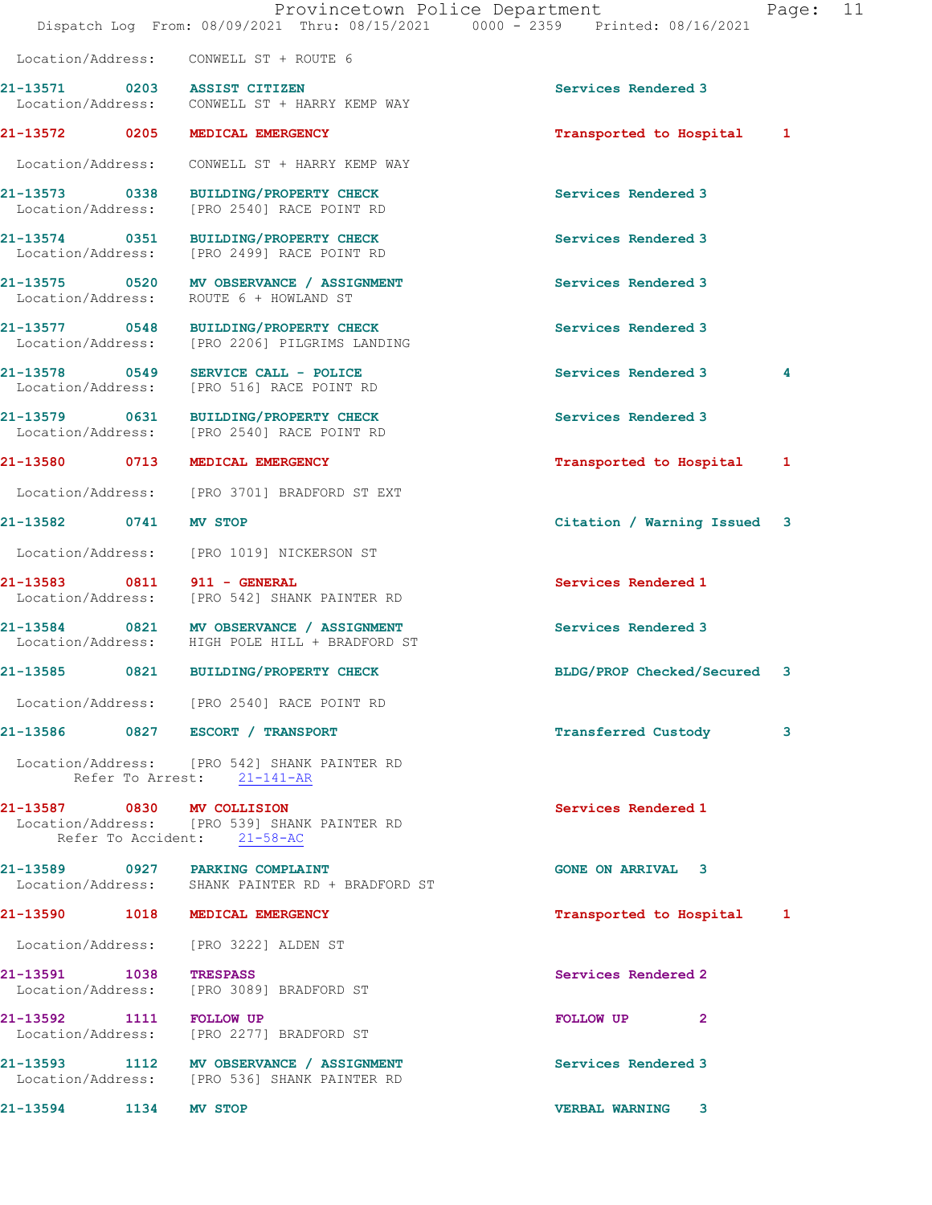|                         | Dispatch Log From: 08/09/2021 Thru: 08/15/2021 0000 - 2359 Printed: 08/16/2021                            | Provincetown Police Department | Page: 11 |  |
|-------------------------|-----------------------------------------------------------------------------------------------------------|--------------------------------|----------|--|
|                         | Location/Address: CONWELL ST + ROUTE 6                                                                    |                                |          |  |
|                         | 21-13571 0203 ASSIST CITIZEN<br>Location/Address: CONWELL ST + HARRY KEMP WAY                             | Services Rendered 3            |          |  |
| 21-13572 0205           | MEDICAL EMERGENCY                                                                                         | Transported to Hospital 1      |          |  |
|                         | Location/Address: CONWELL ST + HARRY KEMP WAY                                                             |                                |          |  |
| Location/Address:       | 21-13573 0338 BUILDING/PROPERTY CHECK<br>[PRO 2540] RACE POINT RD                                         | Services Rendered 3            |          |  |
|                         | 21-13574 0351 BUILDING/PROPERTY CHECK<br>Location/Address: [PRO 2499] RACE POINT RD                       | Services Rendered 3            |          |  |
| Location/Address:       | 21-13575 0520 MV OBSERVANCE / ASSIGNMENT<br>ROUTE 6 + HOWLAND ST                                          | Services Rendered 3            |          |  |
|                         | 21-13577 0548 BUILDING/PROPERTY CHECK<br>Location/Address: [PRO 2206] PILGRIMS LANDING                    | Services Rendered 3            |          |  |
| Location/Address:       | 21-13578 0549 SERVICE CALL - POLICE<br>[PRO 516] RACE POINT RD                                            | Services Rendered 3            | 4        |  |
|                         | 21-13579 0631 BUILDING/PROPERTY CHECK<br>Location/Address: [PRO 2540] RACE POINT RD                       | Services Rendered 3            |          |  |
| 21-13580 0713           | MEDICAL EMERGENCY                                                                                         | Transported to Hospital        | 1        |  |
|                         | Location/Address: [PRO 3701] BRADFORD ST EXT                                                              |                                |          |  |
| 21-13582 0741           | <b>MV STOP</b>                                                                                            | Citation / Warning Issued 3    |          |  |
|                         | Location/Address: [PRO 1019] NICKERSON ST                                                                 |                                |          |  |
| 21-13583                | 0811 911 - GENERAL<br>Location/Address: [PRO 542] SHANK PAINTER RD                                        | Services Rendered 1            |          |  |
| Location/Address:       | 21-13584 0821 MV OBSERVANCE / ASSIGNMENT<br>HIGH POLE HILL + BRADFORD ST                                  | Services Rendered 3            |          |  |
| 21-13585                | 0821 BUILDING/PROPERTY CHECK                                                                              | BLDG/PROP Checked/Secured 3    |          |  |
|                         | Location/Address: [PRO 2540] RACE POINT RD                                                                |                                |          |  |
|                         | 21-13586 0827 ESCORT / TRANSPORT                                                                          | <b>Transferred Custody</b>     | 3        |  |
|                         | Location/Address: [PRO 542] SHANK PAINTER RD<br>Refer To Arrest: 21-141-AR                                |                                |          |  |
|                         | 21-13587 0830 MV COLLISION<br>Location/Address: [PRO 539] SHANK PAINTER RD<br>Refer To Accident: 21-58-AC | Services Rendered 1            |          |  |
|                         | 21-13589 0927 PARKING COMPLAINT<br>Location/Address: SHANK PAINTER RD + BRADFORD ST                       | <b>GONE ON ARRIVAL 3</b>       |          |  |
|                         | 21-13590 1018 MEDICAL EMERGENCY                                                                           | Transported to Hospital 1      |          |  |
|                         | Location/Address: [PRO 3222] ALDEN ST                                                                     |                                |          |  |
| 21-13591 1038 TRESPASS  | Location/Address: [PRO 3089] BRADFORD ST                                                                  | Services Rendered 2            |          |  |
| 21-13592 1111 FOLLOW UP | Location/Address: [PRO 2277] BRADFORD ST                                                                  | FOLLOW UP<br>$\mathbf{2}$      |          |  |
|                         | 21-13593 1112 MV OBSERVANCE / ASSIGNMENT<br>Location/Address: [PRO 536] SHANK PAINTER RD                  | Services Rendered 3            |          |  |
| 21-13594 1134           | <b>MV STOP</b>                                                                                            | <b>VERBAL WARNING 3</b>        |          |  |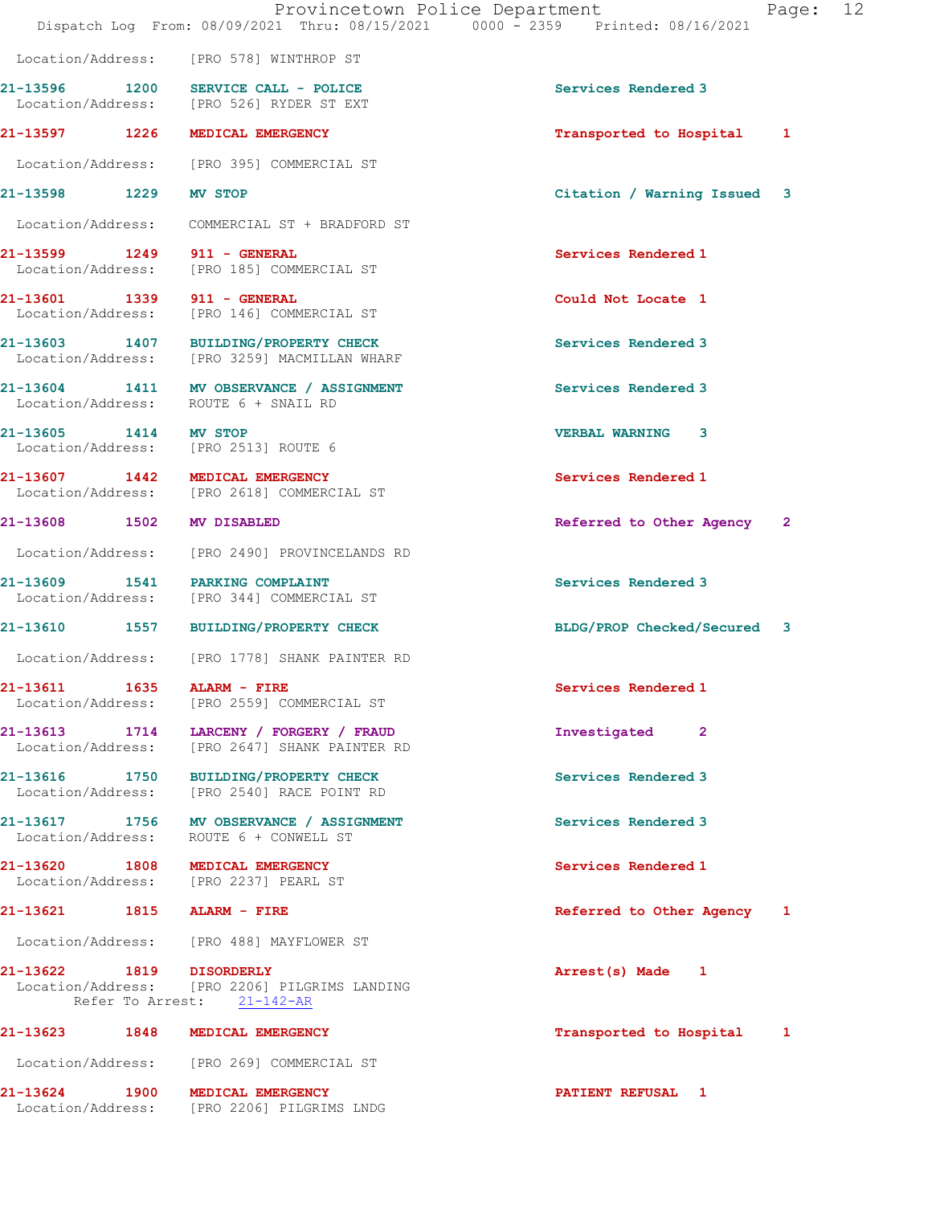|                                       | Provincetown Police Department<br>Dispatch Log From: 08/09/2021 Thru: 08/15/2021 0000 - 2359 Printed: 08/16/2021 |                              | Page: 12     |  |
|---------------------------------------|------------------------------------------------------------------------------------------------------------------|------------------------------|--------------|--|
|                                       | Location/Address: [PRO 578] WINTHROP ST                                                                          |                              |              |  |
|                                       | 21-13596 1200 SERVICE CALL - POLICE<br>Location/Address: [PRO 526] RYDER ST EXT                                  | Services Rendered 3          |              |  |
|                                       | 21-13597 1226 MEDICAL EMERGENCY                                                                                  | Transported to Hospital      | 1            |  |
|                                       | Location/Address: [PRO 395] COMMERCIAL ST                                                                        |                              |              |  |
| 21-13598 1229 MV STOP                 |                                                                                                                  | Citation / Warning Issued 3  |              |  |
|                                       | Location/Address: COMMERCIAL ST + BRADFORD ST                                                                    |                              |              |  |
| 21-13599 1249 911 - GENERAL           | Location/Address: [PRO 185] COMMERCIAL ST                                                                        | Services Rendered 1          |              |  |
| 21-13601 1339 911 - GENERAL           | Location/Address: [PRO 146] COMMERCIAL ST                                                                        | Could Not Locate 1           |              |  |
|                                       | 21-13603 1407 BUILDING/PROPERTY CHECK<br>Location/Address: [PRO 3259] MACMILLAN WHARF                            | Services Rendered 3          |              |  |
|                                       | 21-13604 1411 MV OBSERVANCE / ASSIGNMENT<br>Location/Address: ROUTE 6 + SNAIL RD                                 | Services Rendered 3          |              |  |
| 21-13605 1414 MV STOP                 | Location/Address: [PRO 2513] ROUTE 6                                                                             | <b>VERBAL WARNING 3</b>      |              |  |
|                                       | 21-13607 1442 MEDICAL EMERGENCY<br>Location/Address: [PRO 2618] COMMERCIAL ST                                    | Services Rendered 1          |              |  |
| 21-13608 1502                         | <b>MV DISABLED</b>                                                                                               | Referred to Other Agency     | $\mathbf{2}$ |  |
|                                       | Location/Address: [PRO 2490] PROVINCELANDS RD                                                                    |                              |              |  |
|                                       | 21-13609 1541 PARKING COMPLAINT<br>Location/Address: [PRO 344] COMMERCIAL ST                                     | Services Rendered 3          |              |  |
| 21-13610<br>1557                      | <b>BUILDING/PROPERTY CHECK</b>                                                                                   | BLDG/PROP Checked/Secured    | 3            |  |
| Location/Address:                     | [PRO 1778] SHANK PAINTER RD                                                                                      |                              |              |  |
| 21-13611<br>1635<br>Location/Address: | ALARM - FIRE<br>[PRO 2559] COMMERCIAL ST                                                                         | Services Rendered 1          |              |  |
| 21-13613<br>1714<br>Location/Address: | LARCENY / FORGERY / FRAUD<br>[PRO 2647] SHANK PAINTER RD                                                         | Investigated<br>$\mathbf{2}$ |              |  |
|                                       |                                                                                                                  |                              |              |  |

21-13616 1750 BUILDING/PROPERTY CHECK Services Rendered 3 Location/Address: [PRO 2540] RACE POINT RD

21-13617 1756 MV OBSERVANCE / ASSIGNMENT Services Rendered 3 Location/Address: ROUTE 6 + CONWELL ST

21-13620 1808 MEDICAL EMERGENCY Services Rendered 1 Location/Address: [PRO 2237] PEARL ST

Location/Address: [PRO 488] MAYFLOWER ST

21-13622 1819 DISORDERLY Arrest(s) Made 1 Location/Address: [PRO 2206] PILGRIMS LANDING Refer To Arrest: 21-142-AR

# 21-13623 1848 MEDICAL EMERGENCY Transported to Hospital 1 Location/Address: [PRO 269] COMMERCIAL ST

Location/Address: [PRO 2206] PILGRIMS LNDG

21-13624 1900 MEDICAL EMERGENCY PATIENT REFUSAL 1

21-13621 1815 ALARM - FIRE Referred to Other Agency 1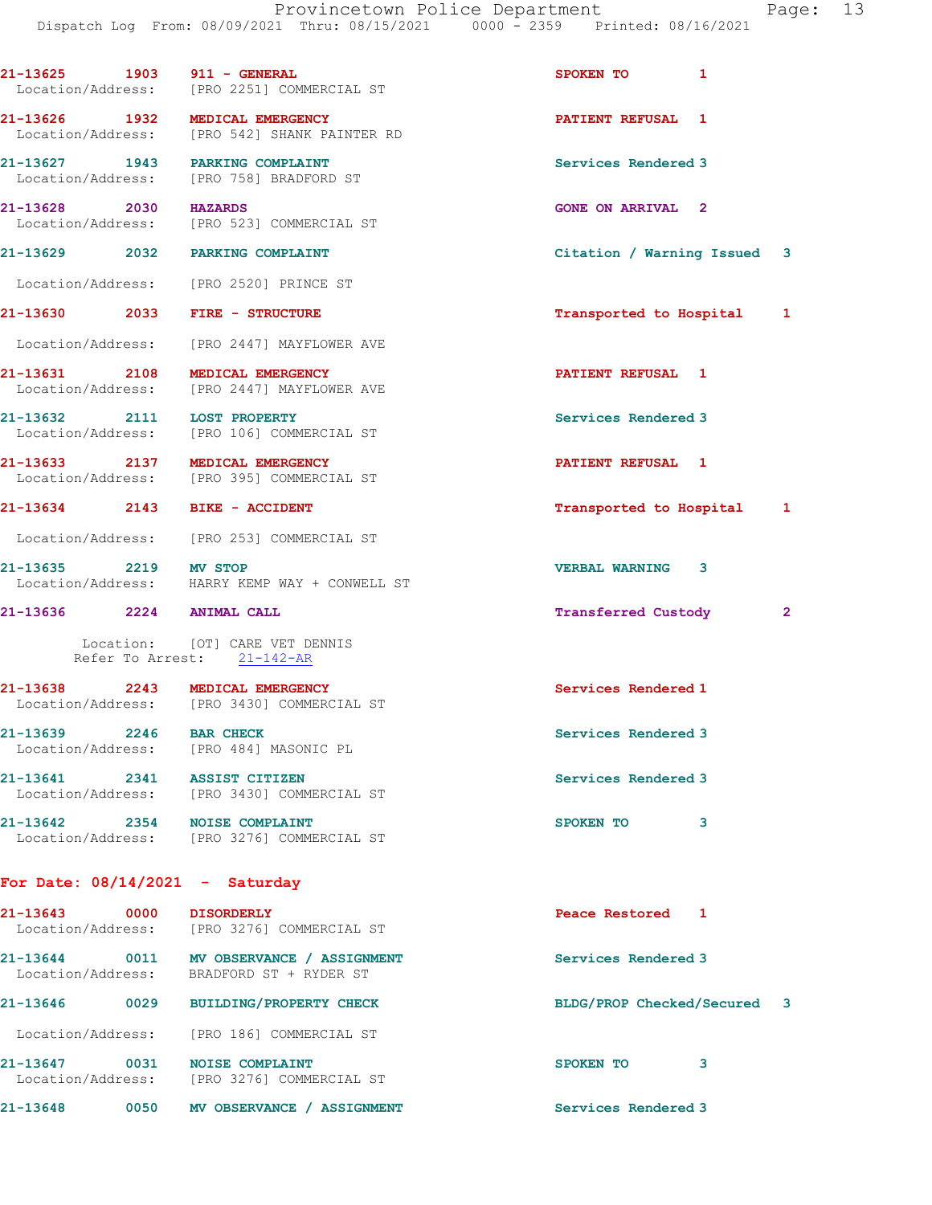| 21-13625 1903 911 - GENERAL       | Location/Address: [PRO 2251] COMMERCIAL ST                                           | 1<br>SPOKEN TO              |              |
|-----------------------------------|--------------------------------------------------------------------------------------|-----------------------------|--------------|
| 21-13626 1932 MEDICAL EMERGENCY   | Location/Address: [PRO 542] SHANK PAINTER RD                                         | PATIENT REFUSAL 1           |              |
| 21-13627 1943 PARKING COMPLAINT   | Location/Address: [PRO 758] BRADFORD ST                                              | Services Rendered 3         |              |
| 21-13628 2030 HAZARDS             | Location/Address: [PRO 523] COMMERCIAL ST                                            | <b>GONE ON ARRIVAL 2</b>    |              |
| 21-13629 2032 PARKING COMPLAINT   |                                                                                      | Citation / Warning Issued 3 |              |
|                                   | Location/Address: [PRO 2520] PRINCE ST                                               |                             |              |
| 21-13630 2033 FIRE - STRUCTURE    |                                                                                      | Transported to Hospital 1   |              |
|                                   | Location/Address: [PRO 2447] MAYFLOWER AVE                                           |                             |              |
| 21-13631 2108 MEDICAL EMERGENCY   | Location/Address: [PRO 2447] MAYFLOWER AVE                                           | <b>PATIENT REFUSAL 1</b>    |              |
| 21-13632 2111 LOST PROPERTY       | Location/Address: [PRO 106] COMMERCIAL ST                                            | Services Rendered 3         |              |
| 21-13633 2137 MEDICAL EMERGENCY   | Location/Address: [PRO 395] COMMERCIAL ST                                            | PATIENT REFUSAL 1           |              |
| 21-13634 2143 BIKE - ACCIDENT     |                                                                                      | Transported to Hospital 1   |              |
|                                   | Location/Address: [PRO 253] COMMERCIAL ST                                            |                             |              |
| 21-13635 2219 MV STOP             | Location/Address: HARRY KEMP WAY + CONWELL ST                                        | <b>VERBAL WARNING 3</b>     |              |
| 21-13636 2224 ANIMAL CALL         |                                                                                      | <b>Transferred Custody</b>  | $\mathbf{2}$ |
|                                   | Location: [OT] CARE VET DENNIS<br>Refer To Arrest: 21-142-AR                         |                             |              |
|                                   | 21-13638 2243 MEDICAL EMERGENCY<br>Location/Address: [PRO 3430] COMMERCIAL ST        | Services Rendered 1         |              |
| 21-13639 2246 BAR CHECK           | Location/Address: [PRO 484] MASONIC PL                                               | Services Rendered 3         |              |
| 21-13641 2341 ASSIST CITIZEN      | Location/Address: [PRO 3430] COMMERCIAL ST                                           | Services Rendered 3         |              |
| 21-13642 2354 NOISE COMPLAINT     | Location/Address: [PRO 3276] COMMERCIAL ST                                           | SPOKEN TO<br>3              |              |
| For Date: $08/14/2021$ - Saturday |                                                                                      |                             |              |
| 21-13643 0000 DISORDERLY          | Location/Address: [PRO 3276] COMMERCIAL ST                                           | Peace Restored 1            |              |
|                                   | 21-13644 0011 MV OBSERVANCE / ASSIGNMENT<br>Location/Address: BRADFORD ST + RYDER ST | Services Rendered 3         |              |
| 21-13646 0029                     | <b>BUILDING/PROPERTY CHECK</b>                                                       | BLDG/PROP Checked/Secured 3 |              |
|                                   | Location/Address: [PRO 186] COMMERCIAL ST                                            |                             |              |
|                                   | 21-13647 0031 NOISE COMPLAINT<br>Location/Address: [PRO 3276] COMMERCIAL ST          | SPOKEN TO<br>3              |              |
| 21-13648<br>0050                  | MV OBSERVANCE / ASSIGNMENT                                                           | Services Rendered 3         |              |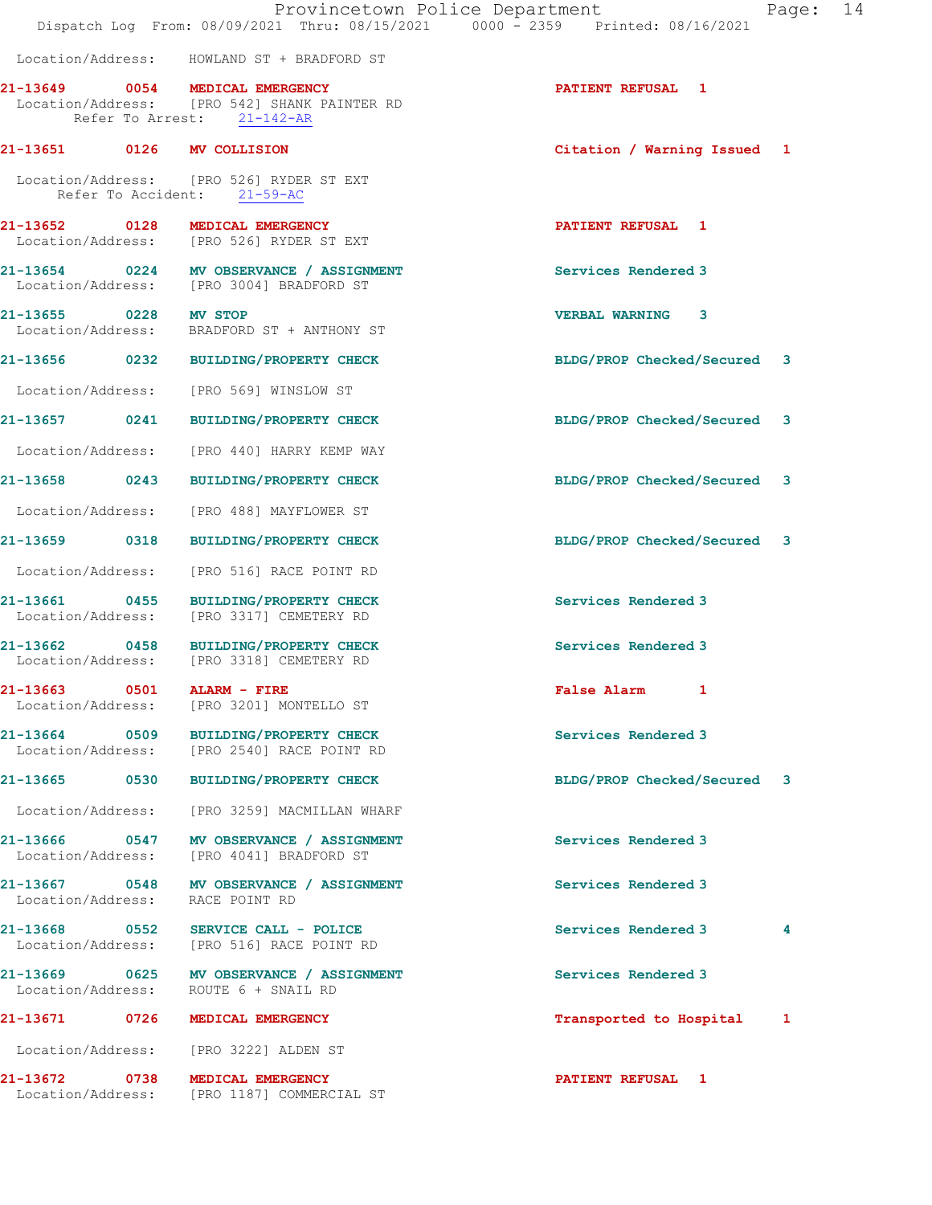|                       | Dispatch Log From: 08/09/2021 Thru: 08/15/2021 0000 - 2359 Printed: 08/16/2021                                | Provincetown Police Department<br>Page: | 14 |
|-----------------------|---------------------------------------------------------------------------------------------------------------|-----------------------------------------|----|
|                       | Location/Address: HOWLAND ST + BRADFORD ST                                                                    |                                         |    |
|                       | 21-13649 0054 MEDICAL EMERGENCY<br>Location/Address: [PRO 542] SHANK PAINTER RD<br>Refer To Arrest: 21-142-AR | <b>PATIENT REFUSAL 1</b>                |    |
|                       | 21-13651 0126 MV COLLISION                                                                                    | Citation / Warning Issued 1             |    |
|                       | Location/Address: [PRO 526] RYDER ST EXT<br>Refer To Accident: 21-59-AC                                       |                                         |    |
|                       | 21-13652 0128 MEDICAL EMERGENCY<br>Location/Address: [PRO 526] RYDER ST EXT                                   | <b>PATIENT REFUSAL 1</b>                |    |
|                       | 21-13654 0224 MV OBSERVANCE / ASSIGNMENT<br>Location/Address: [PRO 3004] BRADFORD ST                          | Services Rendered 3                     |    |
| 21-13655 0228 MV STOP | Location/Address: BRADFORD ST + ANTHONY ST                                                                    | VERBAL WARNING 3                        |    |
|                       | 21-13656 0232 BUILDING/PROPERTY CHECK                                                                         | BLDG/PROP Checked/Secured 3             |    |
|                       | Location/Address: [PRO 569] WINSLOW ST                                                                        |                                         |    |
|                       | 21-13657 0241 BUILDING/PROPERTY CHECK                                                                         | BLDG/PROP Checked/Secured 3             |    |
|                       | Location/Address: [PRO 440] HARRY KEMP WAY                                                                    |                                         |    |
|                       | 21-13658 0243 BUILDING/PROPERTY CHECK                                                                         | BLDG/PROP Checked/Secured 3             |    |
|                       | Location/Address: [PRO 488] MAYFLOWER ST                                                                      |                                         |    |
|                       | 21-13659 0318 BUILDING/PROPERTY CHECK                                                                         | BLDG/PROP Checked/Secured 3             |    |
| Location/Address:     | [PRO 516] RACE POINT RD                                                                                       |                                         |    |
|                       | 21-13661 0455 BUILDING/PROPERTY CHECK<br>Location/Address: [PRO 3317] CEMETERY RD                             | Services Rendered 3                     |    |
|                       | 21-13662 0458 BUILDING/PROPERTY CHECK<br>Location/Address: [PRO 3318] CEMETERY RD                             | Services Rendered 3                     |    |
|                       | 21-13663 0501 ALARM - FIRE<br>Location/Address: [PRO 3201] MONTELLO ST                                        | False Alarm 1                           |    |
|                       | 21-13664 0509 BUILDING/PROPERTY CHECK<br>Location/Address: [PRO 2540] RACE POINT RD                           | Services Rendered 3                     |    |
|                       | 21-13665 0530 BUILDING/PROPERTY CHECK                                                                         | BLDG/PROP Checked/Secured 3             |    |
| Location/Address:     | [PRO 3259] MACMILLAN WHARF                                                                                    |                                         |    |
| Location/Address:     | 21-13666 0547 MV OBSERVANCE / ASSIGNMENT<br>[PRO 4041] BRADFORD ST                                            | Services Rendered 3                     |    |
| Location/Address:     | 21-13667 0548 MV OBSERVANCE / ASSIGNMENT<br>RACE POINT RD                                                     | Services Rendered 3                     |    |
|                       | 21-13668 0552 SERVICE CALL - POLICE<br>Location/Address: [PRO 516] RACE POINT RD                              | Services Rendered 3<br>4                |    |
| Location/Address:     | 21-13669 0625 MV OBSERVANCE / ASSIGNMENT<br>ROUTE 6 + SNAIL RD                                                | Services Rendered 3                     |    |
|                       | 21-13671 0726 MEDICAL EMERGENCY                                                                               | Transported to Hospital<br>1            |    |
|                       | Location/Address: [PRO 3222] ALDEN ST                                                                         |                                         |    |
|                       | 21-13672 0738 MEDICAL EMERGENCY<br>Location/Address: [PRO 1187] COMMERCIAL ST                                 | <b>PATIENT REFUSAL 1</b>                |    |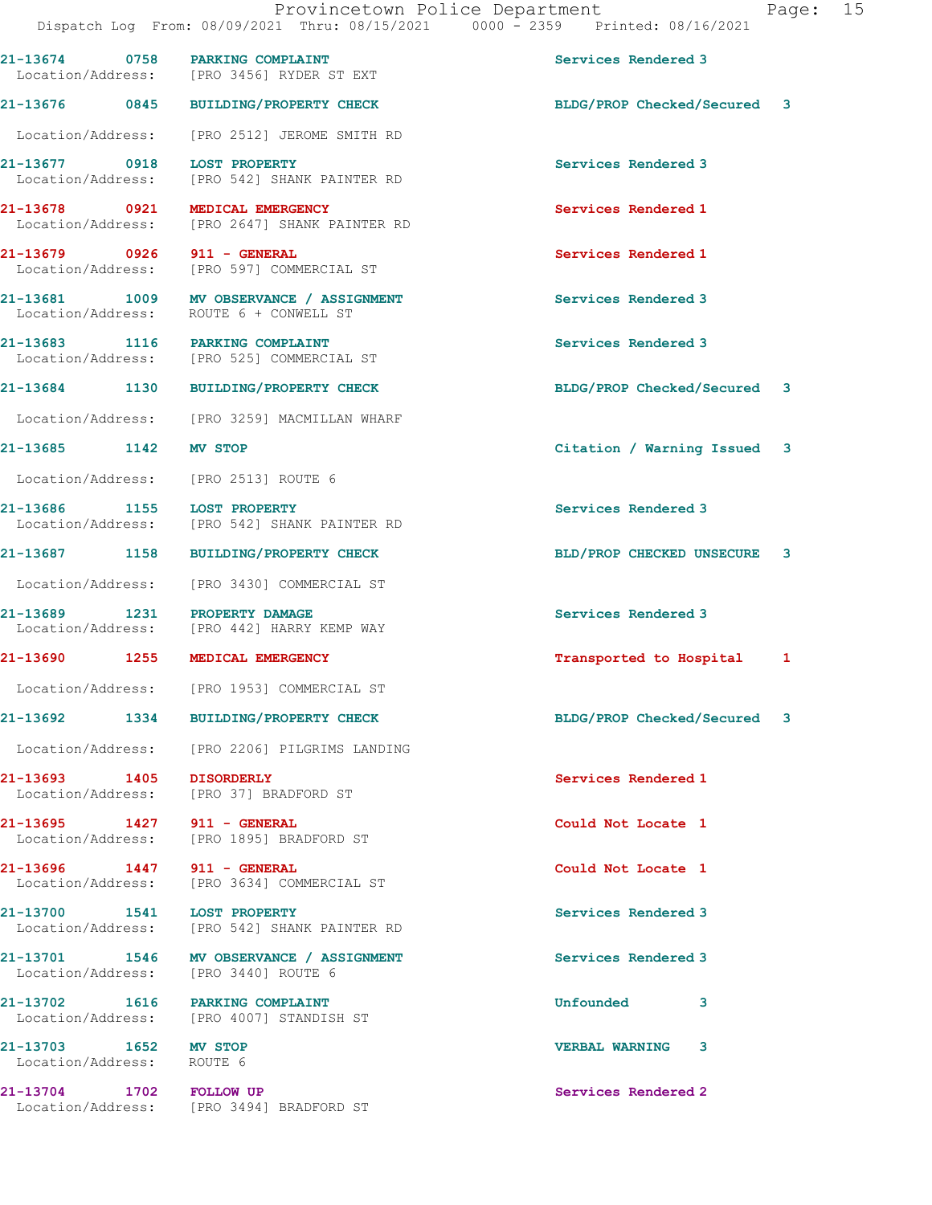Dispatch Log From: 08/09/2021 Thru: 08/15/2021 0000 - 2359 Printed: 08/16/2021 21-13674 0758 PARKING COMPLAINT Services Rendered 3 Location/Address: [PRO 3456] RYDER ST EXT 21-13676 0845 BUILDING/PROPERTY CHECK BLDG/PROP Checked/Secured 3 Location/Address: [PRO 2512] JEROME SMITH RD 21-13677 0918 LOST PROPERTY Services Rendered 3 Location/Address: [PRO 542] SHANK PAINTER RD 21-13678 0921 MEDICAL EMERGENCY (Services Rendered 1 Location/Address: [PRO 2647] SHANK PAINTER RD [PRO 2647] SHANK PAINTER RD 21-13679 0926 911 - GENERAL Services Rendered 1 Location/Address: [PRO 597] COMMERCIAL ST 21-13681 1009 MV OBSERVANCE / ASSIGNMENT Services Rendered 3 Location/Address: ROUTE 6 + CONWELL ST 21-13683 1116 PARKING COMPLAINT<br>
Location/Address: [PRO 525] COMMERCIAL ST [PRO 525] COMMERCIAL ST 21-13684 1130 BUILDING/PROPERTY CHECK BLDG/PROP Checked/Secured 3 Location/Address: [PRO 3259] MACMILLAN WHARF 21-13685 1142 MV STOP Citation / Warning Issued 3 Location/Address: [PRO 2513] ROUTE 6 21-13686 1155 LOST PROPERTY **1200 Services** Rendered 3 Location/Address: [PRO 542] SHANK PAINTER RD 21-13687 1158 BUILDING/PROPERTY CHECK BLD/PROP CHECKED UNSECURE 3 Location/Address: [PRO 3430] COMMERCIAL ST 21-13689 1231 PROPERTY DAMAGE Services Rendered 3 Location/Address: [PRO 442] HARRY KEMP WAY 21-13690 1255 MEDICAL EMERGENCY **1255 MEDICAL EMERGENCY** 12 Location/Address: [PRO 1953] COMMERCIAL ST 21-13692 1334 BUILDING/PROPERTY CHECK BLDG/PROP Checked/Secured 3 Location/Address: [PRO 2206] PILGRIMS LANDING 21-13693 1405 DISORDERLY Services Rendered 1 Location/Address: [PRO 37] BRADFORD ST 21-13695 1427 911 - GENERAL Could Not Locate 1 Location/Address: [PRO 1895] BRADFORD ST 21-13696 1447 911 - GENERAL Could Not Locate 1 Location/Address: [PRO 3634] COMMERCIAL ST 21-13700 1541 LOST PROPERTY Services Rendered 3 Location/Address: [PRO 542] SHANK PAINTER RD 21-13701 1546 MV OBSERVANCE / ASSIGNMENT Services Rendered 3 Location/Address: [PRO 3440] ROUTE 6 21-13702 1616 PARKING COMPLAINT No State of the Unfounded 3 Location/Address: [PRO 4007] STANDISH ST 21-13703 1652 MV STOP VERBAL WARNING 3 Location/Address: ROUTE 6

21-13704 1702 FOLLOW UP Services Rendered 2 Location/Address: [PRO 3494] BRADFORD ST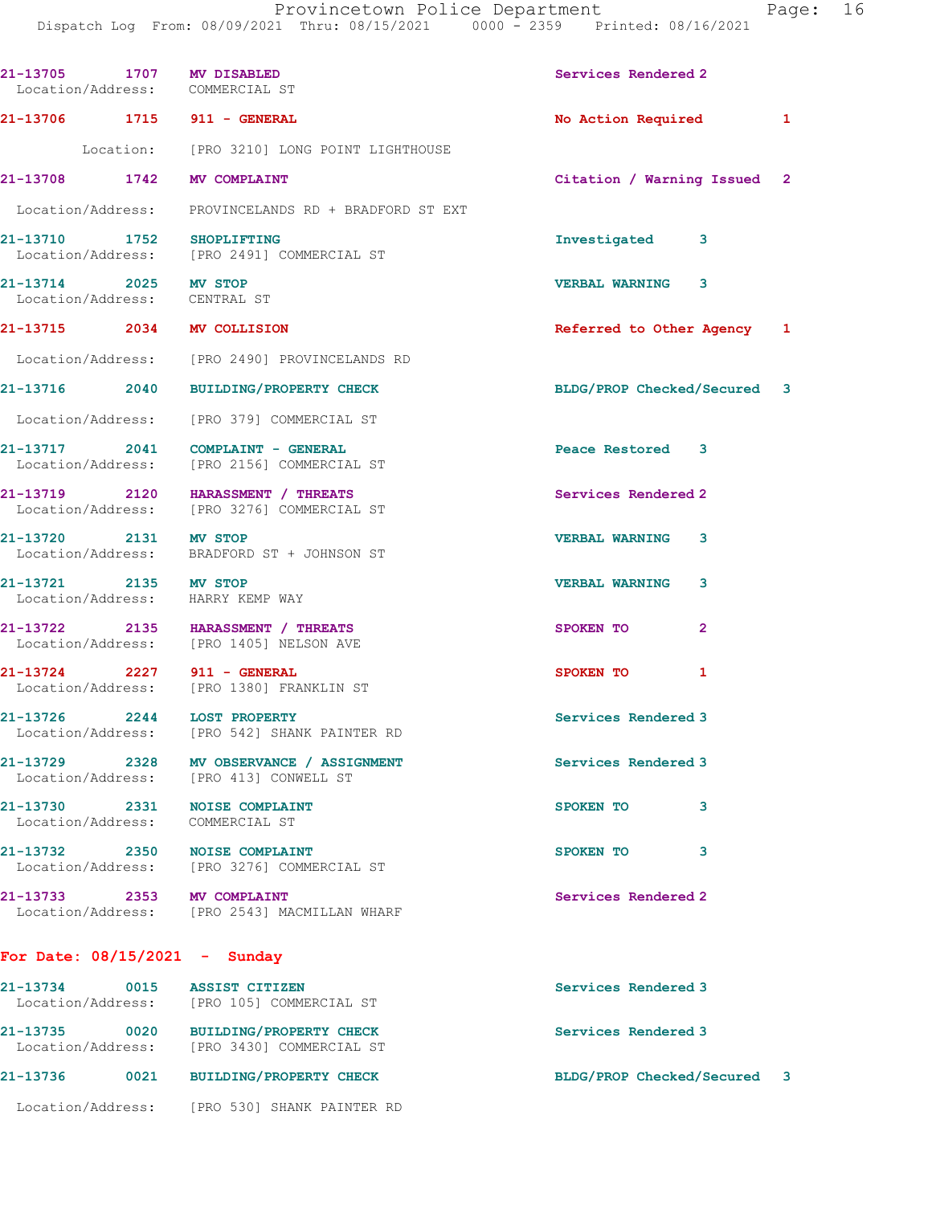| 21-13705 1707 MV DISABLED                             | Location/Address: COMMERCIAL ST                                                     | Services Rendered 2         |   |
|-------------------------------------------------------|-------------------------------------------------------------------------------------|-----------------------------|---|
|                                                       | 21-13706 1715 911 - GENERAL                                                         | No Action Required          | 1 |
|                                                       | Location: [PRO 3210] LONG POINT LIGHTHOUSE                                          |                             |   |
| 21-13708 1742 MV COMPLAINT                            |                                                                                     | Citation / Warning Issued 2 |   |
|                                                       | Location/Address: PROVINCELANDS RD + BRADFORD ST EXT                                |                             |   |
| 21-13710 1752 SHOPLIFTING                             | Location/Address: [PRO 2491] COMMERCIAL ST                                          | Investigated<br>3           |   |
| 21-13714 2025 MV STOP<br>Location/Address: CENTRAL ST |                                                                                     | <b>VERBAL WARNING 3</b>     |   |
| 21-13715 2034 MV COLLISION                            |                                                                                     | Referred to Other Agency 1  |   |
|                                                       | Location/Address: [PRO 2490] PROVINCELANDS RD                                       |                             |   |
|                                                       | 21-13716 2040 BUILDING/PROPERTY CHECK                                               | BLDG/PROP Checked/Secured 3 |   |
|                                                       | Location/Address: [PRO 379] COMMERCIAL ST                                           |                             |   |
|                                                       | 21-13717 2041 COMPLAINT - GENERAL<br>Location/Address: [PRO 2156] COMMERCIAL ST     | Peace Restored 3            |   |
|                                                       | 21-13719 2120 HARASSMENT / THREATS<br>Location/Address: [PRO 3276] COMMERCIAL ST    | Services Rendered 2         |   |
| 21-13720 2131 MV STOP                                 | Location/Address: BRADFORD ST + JOHNSON ST                                          | <b>VERBAL WARNING</b><br>3  |   |
| 21-13721 2135 MV STOP                                 | Location/Address: HARRY KEMP WAY                                                    | <b>VERBAL WARNING</b><br>3  |   |
|                                                       | 21-13722 2135 HARASSMENT / THREATS<br>Location/Address: [PRO 1405] NELSON AVE       | $\overline{2}$<br>SPOKEN TO |   |
|                                                       | 21-13724 2227 911 - GENERAL<br>Location/Address: [PRO 1380] FRANKLIN ST             | $\mathbf{1}$<br>SPOKEN TO   |   |
|                                                       | 21-13726 2244 LOST PROPERTY<br>Location/Address: [PRO 542] SHANK PAINTER RD         | Services Rendered 3         |   |
|                                                       | 21-13729 2328 MV OBSERVANCE / ASSIGNMENT<br>Location/Address: [PRO 413] CONWELL ST  | Services Rendered 3         |   |
| 21-13730 2331<br>Location/Address:                    | <b>NOISE COMPLAINT</b><br>COMMERCIAL ST                                             | 3<br>SPOKEN TO              |   |
|                                                       | 21-13732 2350 NOISE COMPLAINT<br>Location/Address: [PRO 3276] COMMERCIAL ST         | 3<br>SPOKEN TO              |   |
| 21-13733 2353 MV COMPLAINT                            | Location/Address: [PRO 2543] MACMILLAN WHARF                                        | Services Rendered 2         |   |
| For Date: $08/15/2021$ - Sunday                       |                                                                                     |                             |   |
| 21-13734 0015                                         | <b>ASSIST CITIZEN</b><br>Location/Address: [PRO 105] COMMERCIAL ST                  | Services Rendered 3         |   |
|                                                       | 21-13735 0020 BUILDING/PROPERTY CHECK<br>Location/Address: [PRO 3430] COMMERCIAL ST | Services Rendered 3         |   |
| 21-13736                                              | 0021 BUILDING/PROPERTY CHECK                                                        | BLDG/PROP Checked/Secured 3 |   |

Location/Address: [PRO 530] SHANK PAINTER RD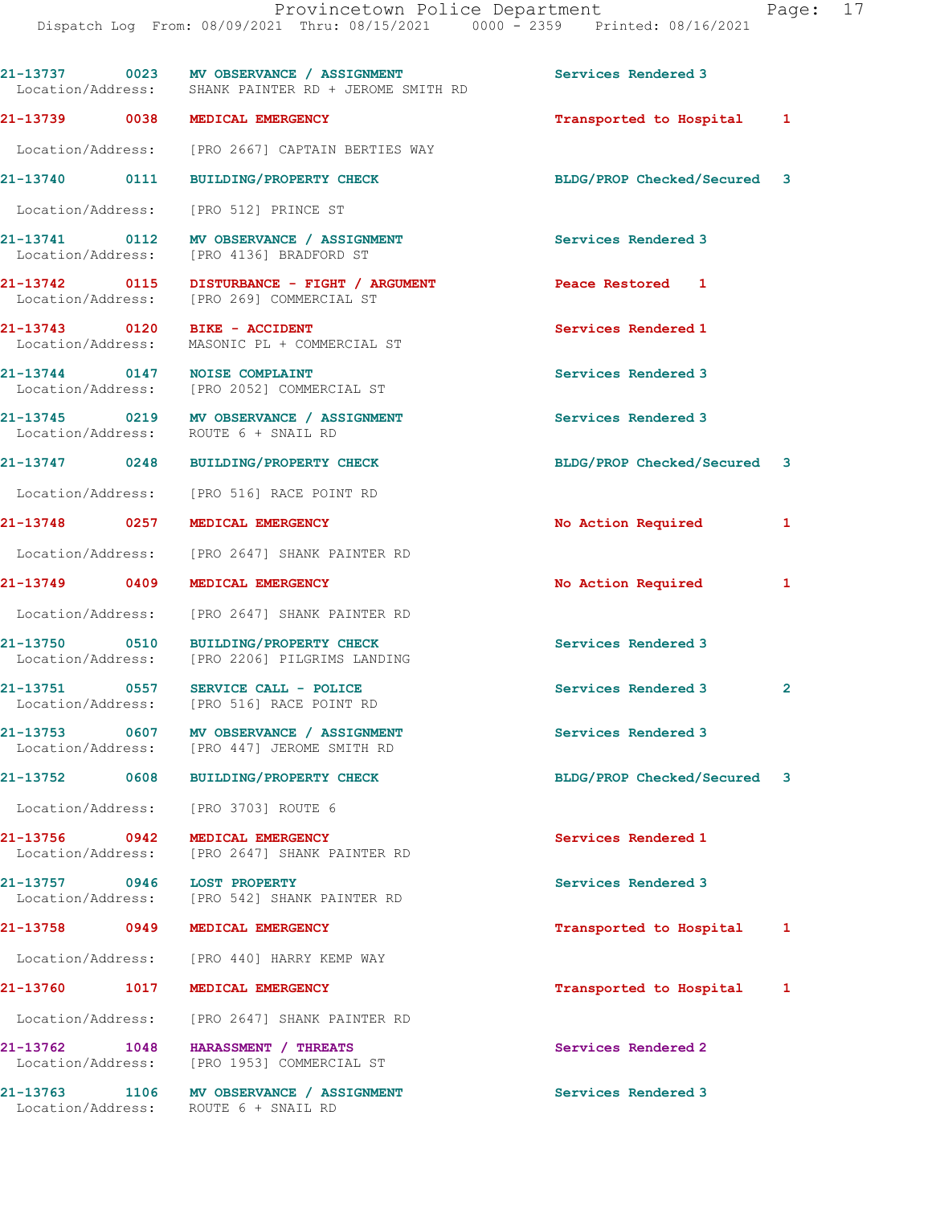|                                       | 21-13737 0023 MV OBSERVANCE / ASSIGNMENT<br>Location/Address: SHANK PAINTER RD + JEROME SMITH RD | Services Rendered 3                 |  |
|---------------------------------------|--------------------------------------------------------------------------------------------------|-------------------------------------|--|
|                                       | 21-13739 0038 MEDICAL EMERGENCY                                                                  | Transported to Hospital 1           |  |
|                                       | Location/Address: [PRO 2667] CAPTAIN BERTIES WAY                                                 |                                     |  |
| 21-13740 0111                         | <b>BUILDING/PROPERTY CHECK</b>                                                                   | BLDG/PROP Checked/Secured 3         |  |
|                                       | Location/Address: [PRO 512] PRINCE ST                                                            |                                     |  |
| 21-13741 0112                         | MV OBSERVANCE / ASSIGNMENT<br>Location/Address: [PRO 4136] BRADFORD ST                           | Services Rendered 3                 |  |
| 21-13742 0115                         | DISTURBANCE - FIGHT / ARGUMENT<br>Location/Address: [PRO 269] COMMERCIAL ST                      | Peace Restored 1                    |  |
|                                       | 21-13743 0120 BIKE - ACCIDENT<br>Location/Address: MASONIC PL + COMMERCIAL ST                    | Services Rendered 1                 |  |
|                                       | 21-13744 0147 NOISE COMPLAINT<br>Location/Address: [PRO 2052] COMMERCIAL ST                      | Services Rendered 3                 |  |
|                                       | 21-13745 0219 MV OBSERVANCE / ASSIGNMENT<br>Location/Address: ROUTE 6 + SNAIL RD                 | Services Rendered 3                 |  |
|                                       | 21-13747 0248 BUILDING/PROPERTY CHECK                                                            | BLDG/PROP Checked/Secured 3         |  |
|                                       | Location/Address: [PRO 516] RACE POINT RD                                                        |                                     |  |
| 21-13748 0257                         | MEDICAL EMERGENCY                                                                                | No Action Required<br>1             |  |
|                                       | Location/Address: [PRO 2647] SHANK PAINTER RD                                                    |                                     |  |
| 21-13749 0409                         | MEDICAL EMERGENCY                                                                                | No Action Required<br>1             |  |
| Location/Address:                     | [PRO 2647] SHANK PAINTER RD                                                                      |                                     |  |
| 21-13750 0510                         | <b>BUILDING/PROPERTY CHECK</b><br>Location/Address: [PRO 2206] PILGRIMS LANDING                  | Services Rendered 3                 |  |
| 21-13751 0557                         | SERVICE CALL - POLICE<br>Location/Address: [PRO 516] RACE POINT RD                               | Services Rendered 3<br>$\mathbf{2}$ |  |
| 21-13753<br>0607                      | MV OBSERVANCE / ASSIGNMENT<br>Location/Address: [PRO 447] JEROME SMITH RD                        | Services Rendered 3                 |  |
| 21-13752<br>0608                      | <b>BUILDING/PROPERTY CHECK</b>                                                                   | BLDG/PROP Checked/Secured<br>3      |  |
| Location/Address:                     | [pro 3703] route 6                                                                               |                                     |  |
| 21-13756 0942                         | MEDICAL EMERGENCY<br>Location/Address: [PRO 2647] SHANK PAINTER RD                               | Services Rendered 1                 |  |
| 21-13757 0946<br>Location/Address:    | <b>LOST PROPERTY</b><br>[PRO 542] SHANK PAINTER RD                                               | Services Rendered 3                 |  |
| 21-13758 0949                         | MEDICAL EMERGENCY                                                                                | Transported to Hospital<br>1        |  |
| Location/Address:                     | [PRO 440] HARRY KEMP WAY                                                                         |                                     |  |
| 21-13760<br>1017                      | MEDICAL EMERGENCY                                                                                | Transported to Hospital<br>1        |  |
|                                       | Location/Address: [PRO 2647] SHANK PAINTER RD                                                    |                                     |  |
| 21-13762<br>1048<br>Location/Address: | HARASSMENT / THREATS<br>[PRO 1953] COMMERCIAL ST                                                 | Services Rendered 2                 |  |
| 21-13763<br>1106<br>Location/Address: | MV OBSERVANCE / ASSIGNMENT<br>ROUTE 6 + SNAIL RD                                                 | Services Rendered 3                 |  |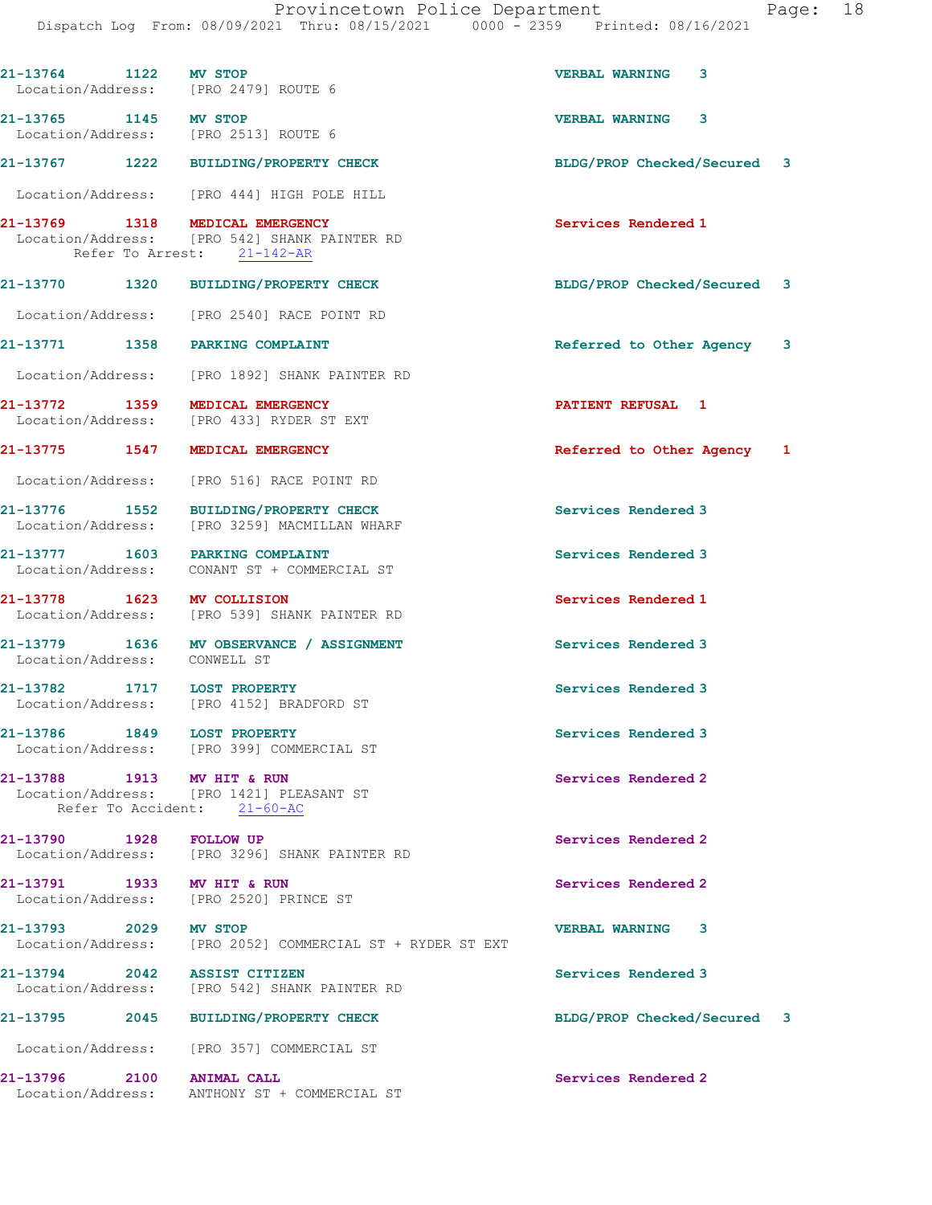| 21-13764 1122 MV STOP<br>Location/Address: [PRO 2479] ROUTE 6 |                                                                                       | 3<br><b>VERBAL WARNING</b>  |  |
|---------------------------------------------------------------|---------------------------------------------------------------------------------------|-----------------------------|--|
| 21-13765 1145 MV STOP<br>Location/Address: [PRO 2513] ROUTE 6 |                                                                                       | <b>VERBAL WARNING</b><br>3  |  |
|                                                               | 21-13767 1222 BUILDING/PROPERTY CHECK                                                 | BLDG/PROP Checked/Secured 3 |  |
|                                                               | Location/Address: [PRO 444] HIGH POLE HILL                                            |                             |  |
| 21-13769 1318 MEDICAL EMERGENCY                               | Location/Address: [PRO 542] SHANK PAINTER RD<br>Refer To Arrest: 21-142-AR            | Services Rendered 1         |  |
|                                                               | 21-13770 1320 BUILDING/PROPERTY CHECK                                                 | BLDG/PROP Checked/Secured 3 |  |
|                                                               | Location/Address: [PRO 2540] RACE POINT RD                                            |                             |  |
| 21-13771 1358 PARKING COMPLAINT                               |                                                                                       | Referred to Other Agency 3  |  |
|                                                               | Location/Address: [PRO 1892] SHANK PAINTER RD                                         |                             |  |
| 21-13772 1359 MEDICAL EMERGENCY                               | Location/Address: [PRO 433] RYDER ST EXT                                              | <b>PATIENT REFUSAL 1</b>    |  |
| 21-13775 1547 MEDICAL EMERGENCY                               |                                                                                       | Referred to Other Agency 1  |  |
|                                                               | Location/Address: [PRO 516] RACE POINT RD                                             |                             |  |
|                                                               | 21-13776 1552 BUILDING/PROPERTY CHECK<br>Location/Address: [PRO 3259] MACMILLAN WHARF | Services Rendered 3         |  |
|                                                               | 21-13777 1603 PARKING COMPLAINT<br>Location/Address: CONANT ST + COMMERCIAL ST        | Services Rendered 3         |  |
| 21-13778 1623 MV COLLISION                                    | Location/Address: [PRO 539] SHANK PAINTER RD                                          | Services Rendered 1         |  |
| Location/Address: CONWELL ST                                  | 21-13779 1636 MV OBSERVANCE / ASSIGNMENT                                              | Services Rendered 3         |  |
|                                                               | 21-13782 1717 LOST PROPERTY<br>Location/Address: [PRO 4152] BRADFORD ST               | Services Rendered 3         |  |
| 21-13786 1849 LOST PROPERTY                                   | Location/Address: [PRO 399] COMMERCIAL ST                                             | Services Rendered 3         |  |
| 21-13788 1913 MV HIT & RUN                                    | Location/Address: [PRO 1421] PLEASANT ST<br>Refer To Accident: 21-60-AC               | Services Rendered 2         |  |
| 21-13790 1928 FOLLOW UP                                       | Location/Address: [PRO 3296] SHANK PAINTER RD                                         | Services Rendered 2         |  |
| 21-13791 1933 MV HIT & RUN                                    | Location/Address: [PRO 2520] PRINCE ST                                                | Services Rendered 2         |  |
| 21-13793 2029 MV STOP                                         | Location/Address: [PRO 2052] COMMERCIAL ST + RYDER ST EXT                             | <b>VERBAL WARNING</b><br>3  |  |
| 21-13794 2042 ASSIST CITIZEN                                  | Location/Address: [PRO 542] SHANK PAINTER RD                                          | Services Rendered 3         |  |
|                                                               | 21-13795 2045 BUILDING/PROPERTY CHECK                                                 | BLDG/PROP Checked/Secured 3 |  |
|                                                               | Location/Address: [PRO 357] COMMERCIAL ST                                             |                             |  |
|                                                               | 21-13796 2100 ANIMAL CALL<br>Location/Address: ANTHONY ST + COMMERCIAL ST             | Services Rendered 2         |  |